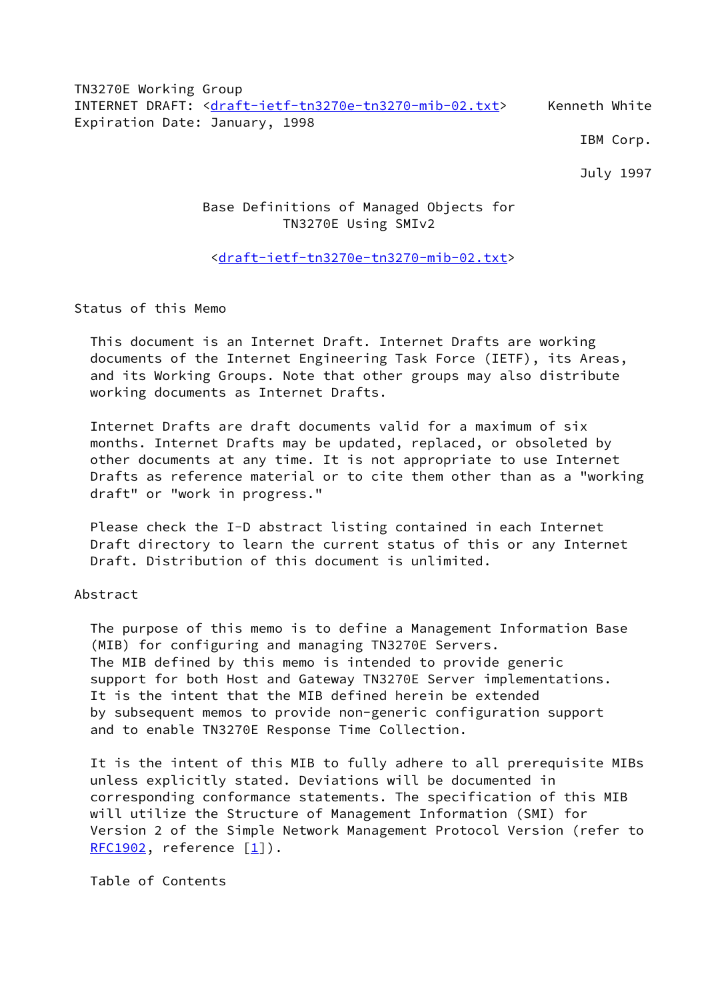TN3270E Working Group INTERNET DRAFT: [<draft-ietf-tn3270e-tn3270-mib-02.txt](https://datatracker.ietf.org/doc/pdf/draft-ietf-tn3270e-tn3270-mib-02.txt)> Kenneth White Expiration Date: January, 1998

IBM Corp.

July 1997

# Base Definitions of Managed Objects for TN3270E Using SMIv2

## <[draft-ietf-tn3270e-tn3270-mib-02.txt>](https://datatracker.ietf.org/doc/pdf/draft-ietf-tn3270e-tn3270-mib-02.txt)

Status of this Memo

 This document is an Internet Draft. Internet Drafts are working documents of the Internet Engineering Task Force (IETF), its Areas, and its Working Groups. Note that other groups may also distribute working documents as Internet Drafts.

 Internet Drafts are draft documents valid for a maximum of six months. Internet Drafts may be updated, replaced, or obsoleted by other documents at any time. It is not appropriate to use Internet Drafts as reference material or to cite them other than as a "working draft" or "work in progress."

 Please check the I-D abstract listing contained in each Internet Draft directory to learn the current status of this or any Internet Draft. Distribution of this document is unlimited.

### Abstract

 The purpose of this memo is to define a Management Information Base (MIB) for configuring and managing TN3270E Servers. The MIB defined by this memo is intended to provide generic support for both Host and Gateway TN3270E Server implementations. It is the intent that the MIB defined herein be extended by subsequent memos to provide non-generic configuration support and to enable TN3270E Response Time Collection.

 It is the intent of this MIB to fully adhere to all prerequisite MIBs unless explicitly stated. Deviations will be documented in corresponding conformance statements. The specification of this MIB will utilize the Structure of Management Information (SMI) for Version 2 of the Simple Network Management Protocol Version (refer to  $RFC1902$ , reference  $[1]$  $[1]$ ).

Table of Contents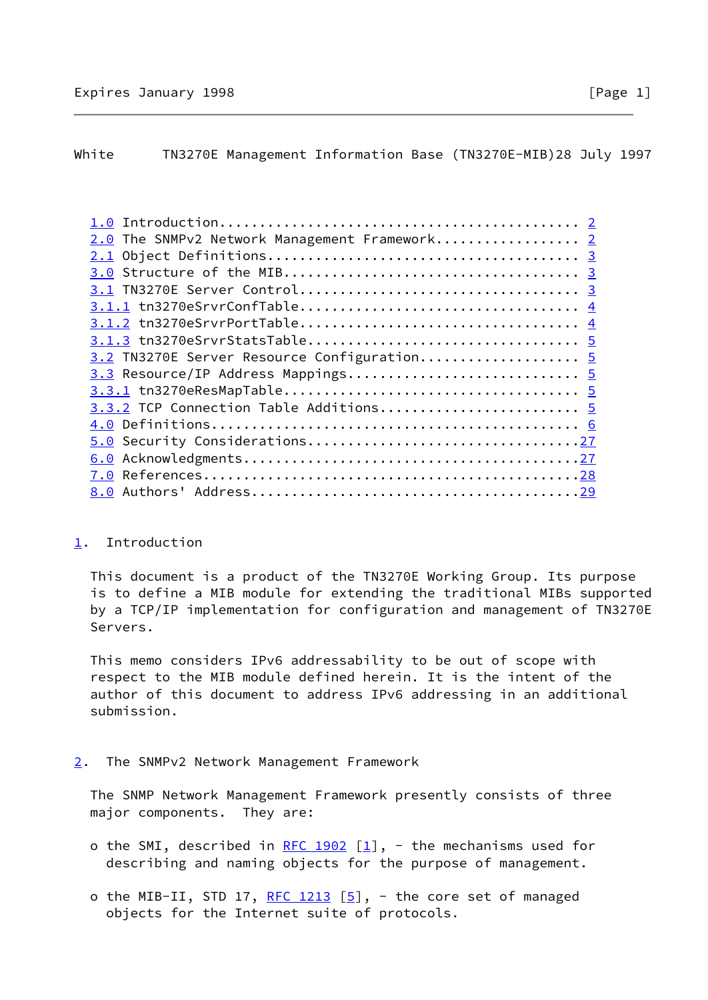## <span id="page-1-0"></span>White TN3270E Management Information Base (TN3270E-MIB)28 July 1997

| 2.0 The SNMPv2 Network Management Framework 2 |  |
|-----------------------------------------------|--|
|                                               |  |
|                                               |  |
|                                               |  |
|                                               |  |
|                                               |  |
|                                               |  |
| 3.2 TN3270E Server Resource Configuration 5   |  |
| 3.3 Resource/IP Address Mappings 5            |  |
|                                               |  |
| 3.3.2 TCP Connection Table Additions 5        |  |
|                                               |  |
| 5.0 Security Considerations27                 |  |
|                                               |  |
|                                               |  |
|                                               |  |

### <span id="page-1-1"></span>[1](#page-1-1). Introduction

 This document is a product of the TN3270E Working Group. Its purpose is to define a MIB module for extending the traditional MIBs supported by a TCP/IP implementation for configuration and management of TN3270E Servers.

 This memo considers IPv6 addressability to be out of scope with respect to the MIB module defined herein. It is the intent of the author of this document to address IPv6 addressing in an additional submission.

## <span id="page-1-2"></span>[2](#page-1-2). The SNMPv2 Network Management Framework

 The SNMP Network Management Framework presently consists of three major components. They are:

- o the SMI, described in [RFC 1902](https://datatracker.ietf.org/doc/pdf/rfc1902)  $[1]$  $[1]$ , the mechanisms used for describing and naming objects for the purpose of management.
- o the MIB-II, STD 17, [RFC 1213](https://datatracker.ietf.org/doc/pdf/rfc1213)  $[5]$  $[5]$ , the core set of managed objects for the Internet suite of protocols.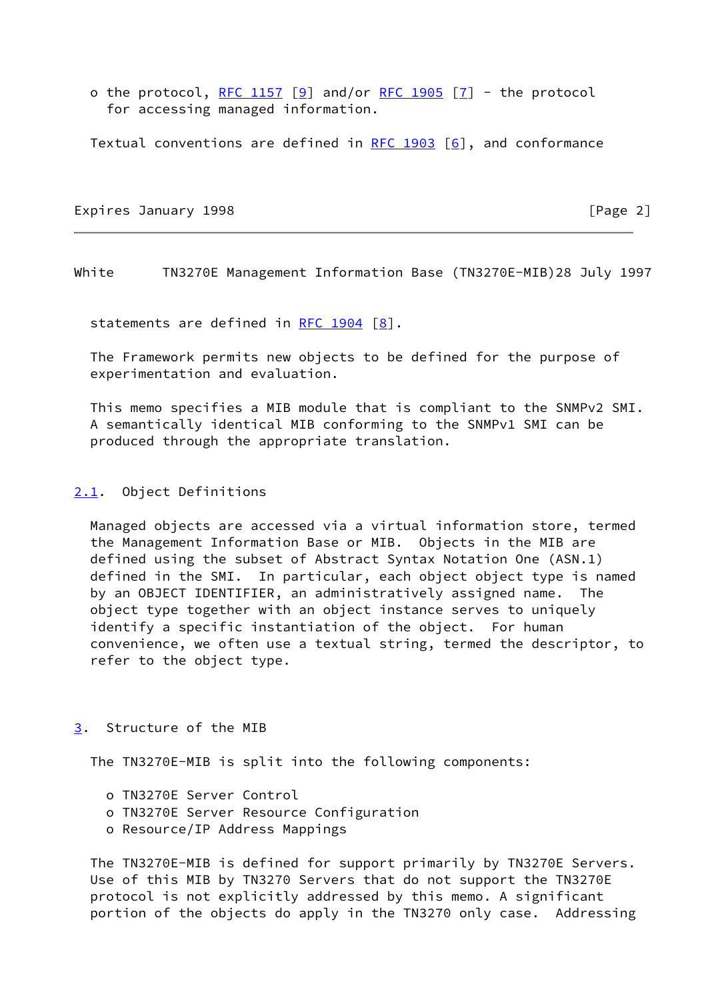o the protocol, [RFC 1157](https://datatracker.ietf.org/doc/pdf/rfc1157) [\[9](#page-31-2)] and/or [RFC 1905](https://datatracker.ietf.org/doc/pdf/rfc1905) [\[7](#page-31-3)] - the protocol for accessing managed information.

Textual conventions are defined in  $RFC 1903 [6]$  $RFC 1903 [6]$ , and conformance

Expires January 1998 **Expires** 2

<span id="page-2-1"></span>White TN3270E Management Information Base (TN3270E-MIB)28 July 1997

statements are defined in RFC  $1904$   $[8]$  $[8]$ .

 The Framework permits new objects to be defined for the purpose of experimentation and evaluation.

 This memo specifies a MIB module that is compliant to the SNMPv2 SMI. A semantically identical MIB conforming to the SNMPv1 SMI can be produced through the appropriate translation.

#### <span id="page-2-0"></span>[2.1](#page-2-0). Object Definitions

 Managed objects are accessed via a virtual information store, termed the Management Information Base or MIB. Objects in the MIB are defined using the subset of Abstract Syntax Notation One (ASN.1) defined in the SMI. In particular, each object object type is named by an OBJECT IDENTIFIER, an administratively assigned name. The object type together with an object instance serves to uniquely identify a specific instantiation of the object. For human convenience, we often use a textual string, termed the descriptor, to refer to the object type.

## <span id="page-2-2"></span>[3](#page-2-2). Structure of the MIB

The TN3270E-MIB is split into the following components:

- o TN3270E Server Control
- o TN3270E Server Resource Configuration
- o Resource/IP Address Mappings

 The TN3270E-MIB is defined for support primarily by TN3270E Servers. Use of this MIB by TN3270 Servers that do not support the TN3270E protocol is not explicitly addressed by this memo. A significant portion of the objects do apply in the TN3270 only case. Addressing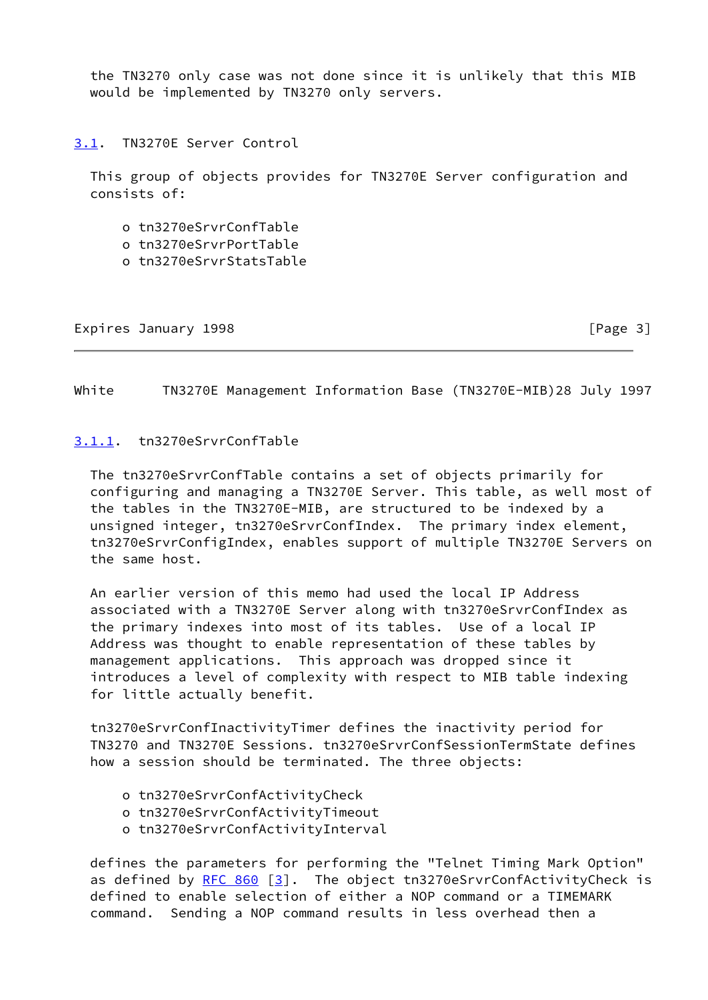the TN3270 only case was not done since it is unlikely that this MIB would be implemented by TN3270 only servers.

<span id="page-3-0"></span>[3.1](#page-3-0). TN3270E Server Control

 This group of objects provides for TN3270E Server configuration and consists of:

- o tn3270eSrvrConfTable
- o tn3270eSrvrPortTable
- o tn3270eSrvrStatsTable

Expires January 1998 **Expires** 2011 **Expires** 2012

<span id="page-3-2"></span>White TN3270E Management Information Base (TN3270E-MIB)28 July 1997

#### <span id="page-3-1"></span>[3.1.1](#page-3-1). tn3270eSrvrConfTable

 The tn3270eSrvrConfTable contains a set of objects primarily for configuring and managing a TN3270E Server. This table, as well most of the tables in the TN3270E-MIB, are structured to be indexed by a unsigned integer, tn3270eSrvrConfIndex. The primary index element, tn3270eSrvrConfigIndex, enables support of multiple TN3270E Servers on the same host.

 An earlier version of this memo had used the local IP Address associated with a TN3270E Server along with tn3270eSrvrConfIndex as the primary indexes into most of its tables. Use of a local IP Address was thought to enable representation of these tables by management applications. This approach was dropped since it introduces a level of complexity with respect to MIB table indexing for little actually benefit.

 tn3270eSrvrConfInactivityTimer defines the inactivity period for TN3270 and TN3270E Sessions. tn3270eSrvrConfSessionTermState defines how a session should be terminated. The three objects:

- o tn3270eSrvrConfActivityCheck
- o tn3270eSrvrConfActivityTimeout
- o tn3270eSrvrConfActivityInterval

 defines the parameters for performing the "Telnet Timing Mark Option" as defined by  $RFC 860 [3]$  $RFC 860 [3]$ . The object tn3270eSrvrConfActivityCheck is defined to enable selection of either a NOP command or a TIMEMARK command. Sending a NOP command results in less overhead then a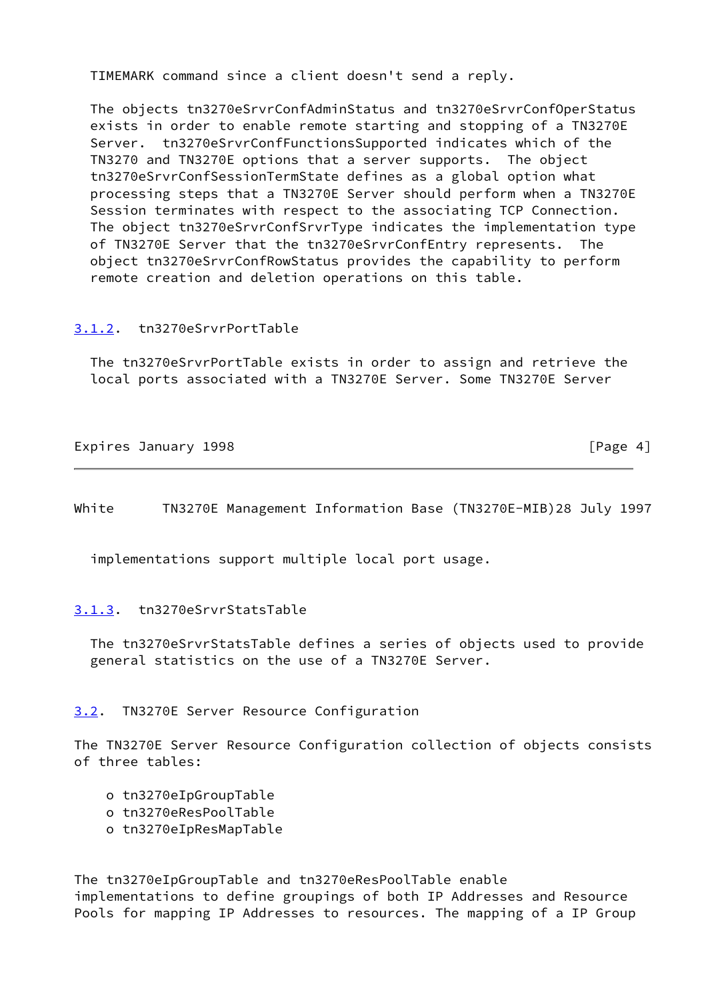TIMEMARK command since a client doesn't send a reply.

 The objects tn3270eSrvrConfAdminStatus and tn3270eSrvrConfOperStatus exists in order to enable remote starting and stopping of a TN3270E Server. tn3270eSrvrConfFunctionsSupported indicates which of the TN3270 and TN3270E options that a server supports. The object tn3270eSrvrConfSessionTermState defines as a global option what processing steps that a TN3270E Server should perform when a TN3270E Session terminates with respect to the associating TCP Connection. The object tn3270eSrvrConfSrvrType indicates the implementation type of TN3270E Server that the tn3270eSrvrConfEntry represents. The object tn3270eSrvrConfRowStatus provides the capability to perform remote creation and deletion operations on this table.

### <span id="page-4-0"></span>[3.1.2](#page-4-0). tn3270eSrvrPortTable

 The tn3270eSrvrPortTable exists in order to assign and retrieve the local ports associated with a TN3270E Server. Some TN3270E Server

Expires January 1998 **Expires** (Page 4)

<span id="page-4-2"></span>White TN3270E Management Information Base (TN3270E-MIB)28 July 1997

implementations support multiple local port usage.

### <span id="page-4-1"></span>[3.1.3](#page-4-1). tn3270eSrvrStatsTable

 The tn3270eSrvrStatsTable defines a series of objects used to provide general statistics on the use of a TN3270E Server.

## <span id="page-4-3"></span>[3.2](#page-4-3). TN3270E Server Resource Configuration

The TN3270E Server Resource Configuration collection of objects consists of three tables:

- o tn3270eIpGroupTable
- o tn3270eResPoolTable
- o tn3270eIpResMapTable

The tn3270eIpGroupTable and tn3270eResPoolTable enable implementations to define groupings of both IP Addresses and Resource Pools for mapping IP Addresses to resources. The mapping of a IP Group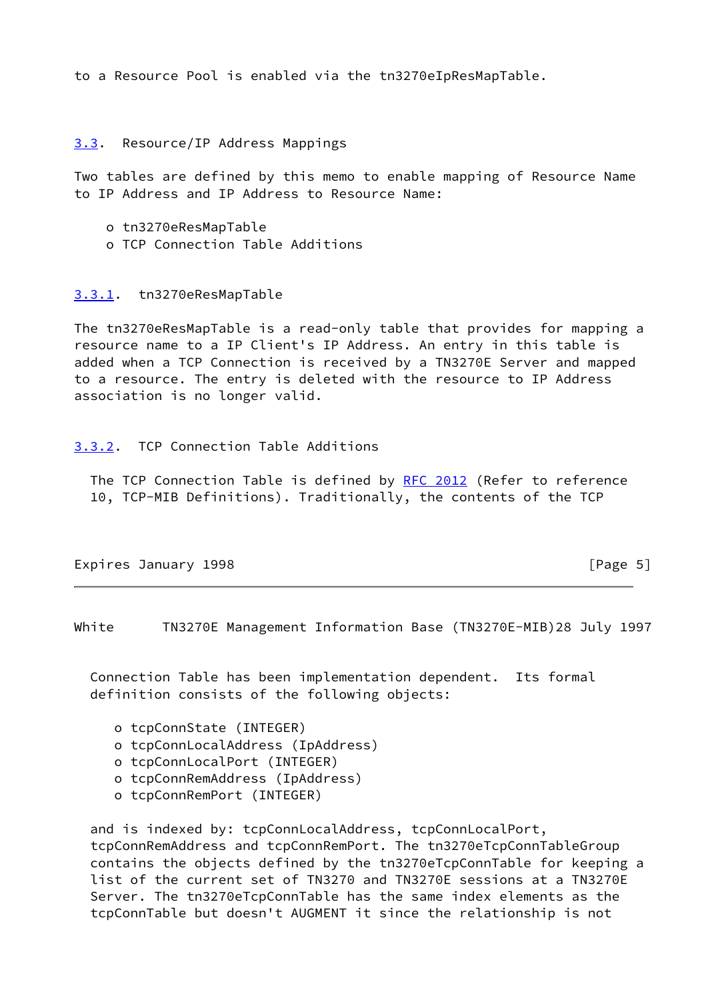to a Resource Pool is enabled via the tn3270eIpResMapTable.

### <span id="page-5-0"></span>[3.3](#page-5-0). Resource/IP Address Mappings

Two tables are defined by this memo to enable mapping of Resource Name to IP Address and IP Address to Resource Name:

- o tn3270eResMapTable
- o TCP Connection Table Additions

## <span id="page-5-1"></span>[3.3.1](#page-5-1). tn3270eResMapTable

The tn3270eResMapTable is a read-only table that provides for mapping a resource name to a IP Client's IP Address. An entry in this table is added when a TCP Connection is received by a TN3270E Server and mapped to a resource. The entry is deleted with the resource to IP Address association is no longer valid.

### <span id="page-5-2"></span>[3.3.2](#page-5-2). TCP Connection Table Additions

The TCP Connection Table is defined by [RFC 2012](https://datatracker.ietf.org/doc/pdf/rfc2012) (Refer to reference 10, TCP-MIB Definitions). Traditionally, the contents of the TCP

Expires January 1998 **Expires** 5

<span id="page-5-3"></span>White TN3270E Management Information Base (TN3270E-MIB)28 July 1997

 Connection Table has been implementation dependent. Its formal definition consists of the following objects:

- o tcpConnState (INTEGER)
- o tcpConnLocalAddress (IpAddress)
- o tcpConnLocalPort (INTEGER)
- o tcpConnRemAddress (IpAddress)
- o tcpConnRemPort (INTEGER)

 and is indexed by: tcpConnLocalAddress, tcpConnLocalPort, tcpConnRemAddress and tcpConnRemPort. The tn3270eTcpConnTableGroup contains the objects defined by the tn3270eTcpConnTable for keeping a list of the current set of TN3270 and TN3270E sessions at a TN3270E Server. The tn3270eTcpConnTable has the same index elements as the tcpConnTable but doesn't AUGMENT it since the relationship is not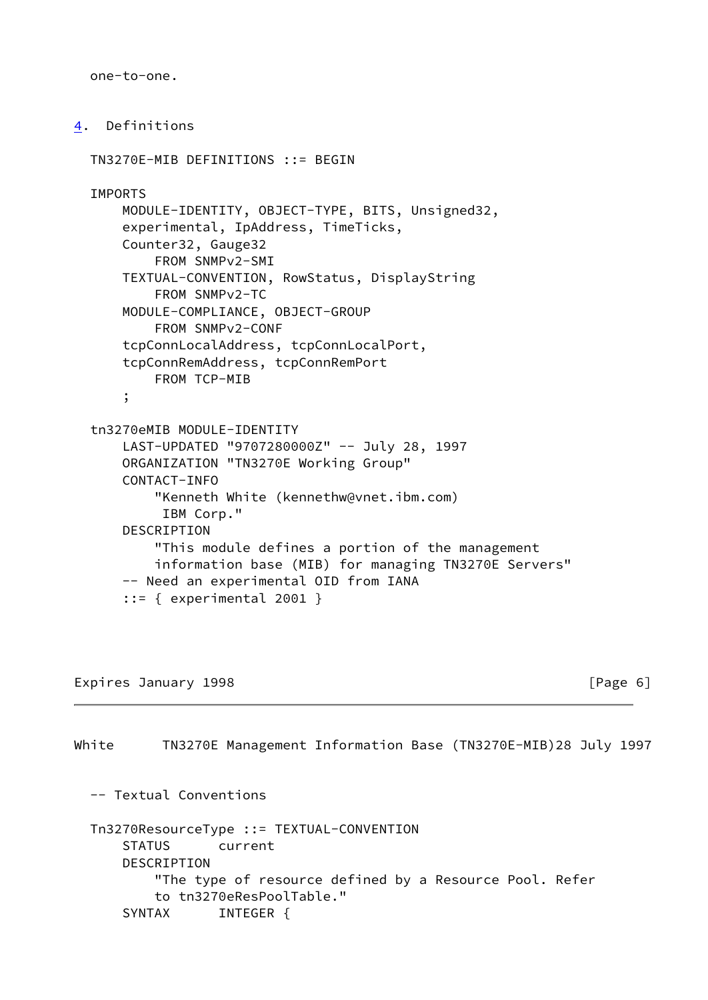one-to-one.

```
4. Definitions
```

```
 TN3270E-MIB DEFINITIONS ::= BEGIN
 IMPORTS
     MODULE-IDENTITY, OBJECT-TYPE, BITS, Unsigned32,
     experimental, IpAddress, TimeTicks,
     Counter32, Gauge32
         FROM SNMPv2-SMI
     TEXTUAL-CONVENTION, RowStatus, DisplayString
         FROM SNMPv2-TC
     MODULE-COMPLIANCE, OBJECT-GROUP
         FROM SNMPv2-CONF
     tcpConnLocalAddress, tcpConnLocalPort,
     tcpConnRemAddress, tcpConnRemPort
         FROM TCP-MIB
     ;
 tn3270eMIB MODULE-IDENTITY
     LAST-UPDATED "9707280000Z" -- July 28, 1997
     ORGANIZATION "TN3270E Working Group"
     CONTACT-INFO
         "Kenneth White (kennethw@vnet.ibm.com)
          IBM Corp."
     DESCRIPTION
         "This module defines a portion of the management
         information base (MIB) for managing TN3270E Servers"
     -- Need an experimental OID from IANA
    ::= { experimental 2001 }
```
Expires January 1998 **Expires** 1998 **For the USA CONSTRUSTER** 

White TN3270E Management Information Base (TN3270E-MIB)28 July 1997 -- Textual Conventions Tn3270ResourceType ::= TEXTUAL-CONVENTION STATUS current DESCRIPTION "The type of resource defined by a Resource Pool. Refer to tn3270eResPoolTable." SYNTAX INTEGER {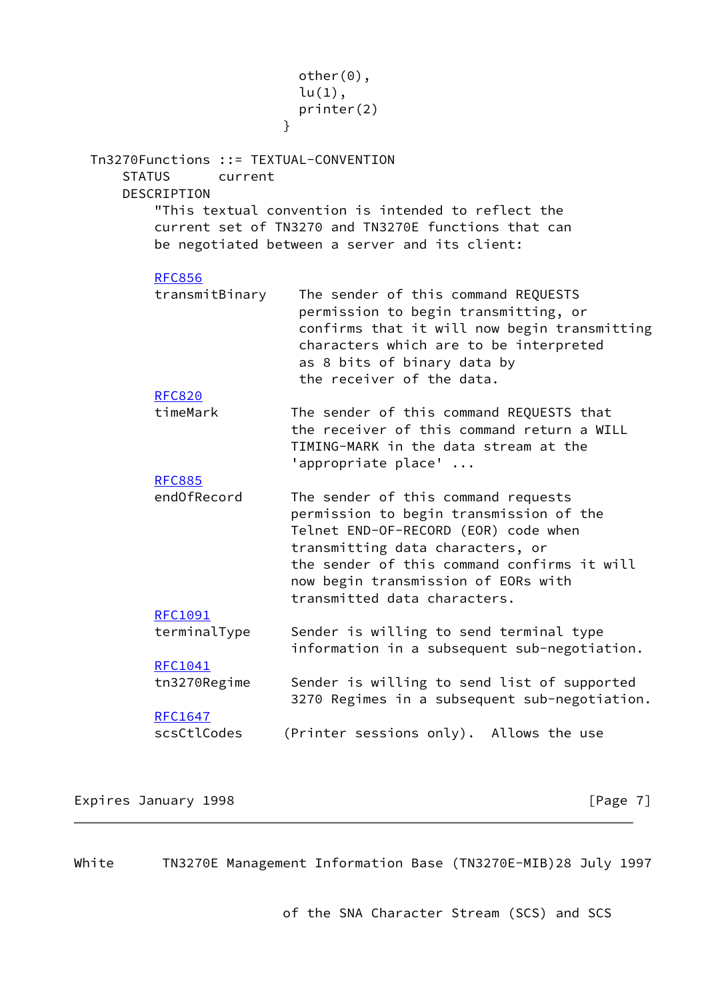|                                                                                          | $other(0)$ ,<br>$lu(1)$ ,                                                                                                                                                                                                                                                        |
|------------------------------------------------------------------------------------------|----------------------------------------------------------------------------------------------------------------------------------------------------------------------------------------------------------------------------------------------------------------------------------|
|                                                                                          | printer(2)                                                                                                                                                                                                                                                                       |
|                                                                                          | $\mathcal{F}$                                                                                                                                                                                                                                                                    |
|                                                                                          |                                                                                                                                                                                                                                                                                  |
| Tn3270Functions ::= TEXTUAL-CONVENTION<br><b>STATUS</b><br>current<br><b>DESCRIPTION</b> |                                                                                                                                                                                                                                                                                  |
|                                                                                          | "This textual convention is intended to reflect the<br>current set of TN3270 and TN3270E functions that can<br>be negotiated between a server and its client:                                                                                                                    |
| <b>RFC856</b>                                                                            |                                                                                                                                                                                                                                                                                  |
| transmitBinary                                                                           | The sender of this command REQUESTS<br>permission to begin transmitting, or<br>confirms that it will now begin transmitting<br>characters which are to be interpreted<br>as 8 bits of binary data by<br>the receiver of the data.                                                |
| <b>RFC820</b>                                                                            |                                                                                                                                                                                                                                                                                  |
| timeMark                                                                                 | The sender of this command REQUESTS that<br>the receiver of this command return a WILL<br>TIMING-MARK in the data stream at the<br>'appropriate place'                                                                                                                           |
| <b>RFC885</b>                                                                            |                                                                                                                                                                                                                                                                                  |
| end0fRecord                                                                              | The sender of this command requests<br>permission to begin transmission of the<br>Telnet END-OF-RECORD (EOR) code when<br>transmitting data characters, or<br>the sender of this command confirms it will<br>now begin transmission of EORs with<br>transmitted data characters. |
| RFC1091                                                                                  |                                                                                                                                                                                                                                                                                  |
| terminalType                                                                             | Sender is willing to send terminal type<br>information in a subsequent sub-negotiation.                                                                                                                                                                                          |
| RFC1041                                                                                  |                                                                                                                                                                                                                                                                                  |
| tn3270Regime                                                                             | Sender is willing to send list of supported<br>3270 Regimes in a subsequent sub-negotiation.                                                                                                                                                                                     |
| <b>RFC1647</b>                                                                           |                                                                                                                                                                                                                                                                                  |
| scsCtlCodes                                                                              | (Printer sessions only). Allows the use                                                                                                                                                                                                                                          |
|                                                                                          |                                                                                                                                                                                                                                                                                  |

Expires January 1998 **Expires** 2011 **Expires** 2011

White TN3270E Management Information Base (TN3270E-MIB)28 July 1997

of the SNA Character Stream (SCS) and SCS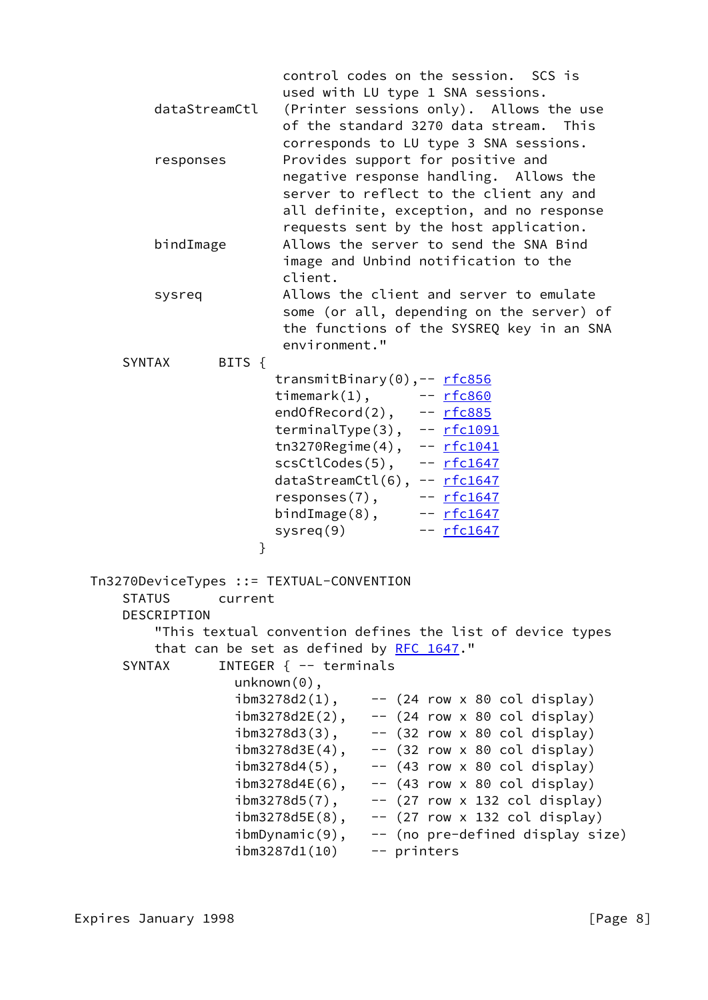| dataStreamCtl<br>responses                                                                                                                       |                                                                                                                                                                                                                  | control codes on the session. SCS is<br>used with LU type 1 SNA sessions.<br>(Printer sessions only). Allows the use<br>of the standard 3270 data stream.<br>This<br>corresponds to LU type 3 SNA sessions.<br>Provides support for positive and<br>negative response handling. Allows the<br>server to reflect to the client any and |
|--------------------------------------------------------------------------------------------------------------------------------------------------|------------------------------------------------------------------------------------------------------------------------------------------------------------------------------------------------------------------|---------------------------------------------------------------------------------------------------------------------------------------------------------------------------------------------------------------------------------------------------------------------------------------------------------------------------------------|
| bindImage                                                                                                                                        | client.                                                                                                                                                                                                          | all definite, exception, and no response<br>requests sent by the host application.<br>Allows the server to send the SNA Bind<br>image and Unbind notification to the                                                                                                                                                                  |
| sysreq                                                                                                                                           | environment."                                                                                                                                                                                                    | Allows the client and server to emulate<br>some (or all, depending on the server) of<br>the functions of the SYSREQ key in an SNA                                                                                                                                                                                                     |
| <b>SYNTAX</b><br>BITS $\{$<br>$\mathcal{F}$                                                                                                      | system(9)                                                                                                                                                                                                        | transmitBinary(0),-- rfc856<br>timemark(1), -- rfc860<br>endOfRecord(2), -- rfc885<br>terminalType(3), -- rfc1091<br>tn3270Regime(4), -- rfc1041<br>scsCtlCodes(5), -- <u>rfc1647</u><br>dataStreamCtl(6), -- rfc1647<br>responses(7), -- rfc1647<br>bindImage(8), -- rfc1647<br>-- rfc1647                                           |
| Tn3270DeviceTypes ::= TEXTUAL-CONVENTION<br><b>STATUS</b><br>current<br>DESCRIPTION<br>that can be set as defined by RFC 1647."<br><b>SYNTAX</b> | INTEGER $\{- -$ terminals<br>$unknown(0)$ ,<br>$i$ bm3278d2 $(1)$ ,<br>$ibm3278d2E(2)$ ,<br>$ibm3278d3(3)$ ,<br>$ibm3278d3E(4)$ ,<br>$ibm3278d4(5)$ ,<br>$ibm3278d4E(6)$ ,<br>$ibm3278d5(7)$ ,<br>ibm3278d5E(8), | "This textual convention defines the list of device types<br>$--$ (24 row x 80 col display)<br>$--$ (24 row x 80 col display)<br>-- (32 row x 80 col display)<br>-- (32 row x 80 col display)<br>$-$ (43 row x 80 col display)<br>$-$ (43 row x 80 col display)<br>$--$ (27 row x 132 col display)<br>$--$ (27 row x 132 col display) |
|                                                                                                                                                  | $\mathsf{ibmDynamic}(9)$ ,<br>ibm3287d1(10)                                                                                                                                                                      | -- (no pre-defined display size)<br>-- printers                                                                                                                                                                                                                                                                                       |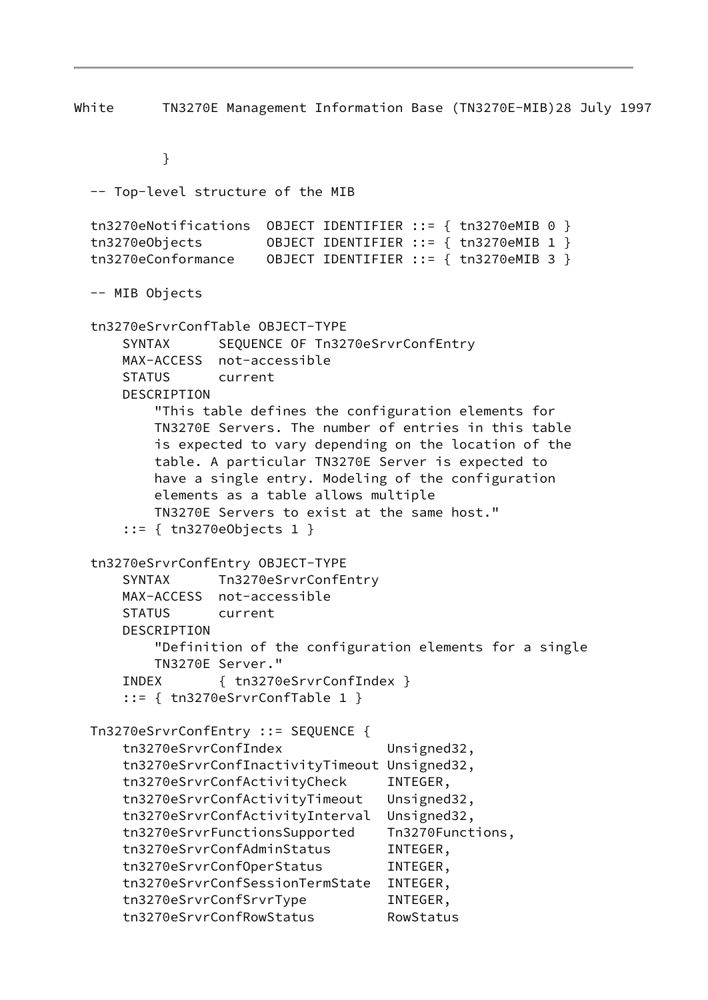White TN3270E Management Information Base (TN3270E-MIB)28 July 1997

}

 -- Top-level structure of the MIB tn3270eNotifications OBJECT IDENTIFIER ::= { tn3270eMIB 0 } tn3270eObjects OBJECT IDENTIFIER ::= { tn3270eMIB 1 } tn3270eConformance OBJECT IDENTIFIER ::= { tn3270eMIB 3 } -- MIB Objects tn3270eSrvrConfTable OBJECT-TYPE SYNTAX SEQUENCE OF Tn3270eSrvrConfEntry MAX-ACCESS not-accessible STATUS current DESCRIPTION "This table defines the configuration elements for TN3270E Servers. The number of entries in this table is expected to vary depending on the location of the table. A particular TN3270E Server is expected to have a single entry. Modeling of the configuration elements as a table allows multiple TN3270E Servers to exist at the same host." ::= { tn3270eObjects 1 } tn3270eSrvrConfEntry OBJECT-TYPE SYNTAX Tn3270eSrvrConfEntry MAX-ACCESS not-accessible STATUS current DESCRIPTION "Definition of the configuration elements for a single TN3270E Server." INDEX { tn3270eSrvrConfIndex } ::= { tn3270eSrvrConfTable 1 } Tn3270eSrvrConfEntry ::= SEQUENCE { tn3270eSrvrConfIndex Unsigned32, tn3270eSrvrConfInactivityTimeout Unsigned32, tn3270eSrvrConfActivityCheck INTEGER, tn3270eSrvrConfActivityTimeout Unsigned32, tn3270eSrvrConfActivityInterval Unsigned32, tn3270eSrvrFunctionsSupported Tn3270Functions, tn3270eSrvrConfAdminStatus INTEGER, tn3270eSrvrConfOperStatus INTEGER, tn3270eSrvrConfSessionTermState INTEGER, tn3270eSrvrConfSrvrType INTEGER, tn3270eSrvrConfRowStatus RowStatus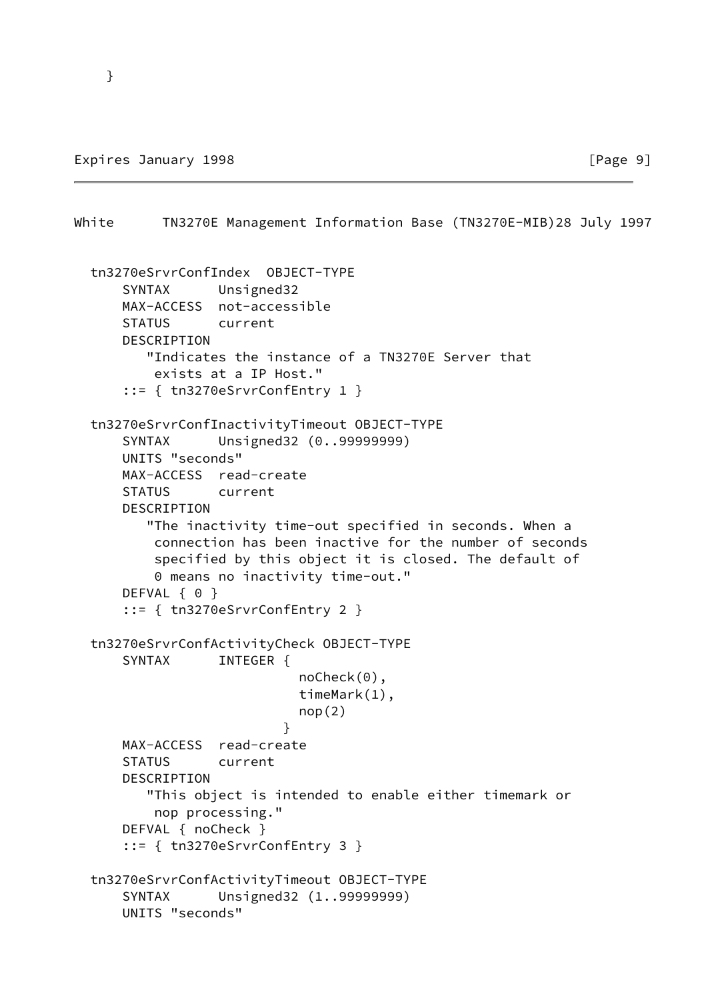White TN3270E Management Information Base (TN3270E-MIB)28 July 1997 tn3270eSrvrConfIndex OBJECT-TYPE SYNTAX Unsigned32 MAX-ACCESS not-accessible STATUS current DESCRIPTION "Indicates the instance of a TN3270E Server that exists at a IP Host." ::= { tn3270eSrvrConfEntry 1 } tn3270eSrvrConfInactivityTimeout OBJECT-TYPE SYNTAX Unsigned32 (0..99999999) UNITS "seconds" MAX-ACCESS read-create STATUS current DESCRIPTION "The inactivity time-out specified in seconds. When a connection has been inactive for the number of seconds specified by this object it is closed. The default of 0 means no inactivity time-out." DEFVAL { 0 } ::= { tn3270eSrvrConfEntry 2 } tn3270eSrvrConfActivityCheck OBJECT-TYPE SYNTAX INTEGER { noCheck(0), timeMark(1),  $nop(2)$  } MAX-ACCESS read-create STATUS current DESCRIPTION "This object is intended to enable either timemark or nop processing." DEFVAL { noCheck } ::= { tn3270eSrvrConfEntry 3 } tn3270eSrvrConfActivityTimeout OBJECT-TYPE SYNTAX Unsigned32 (1..99999999) UNITS "seconds"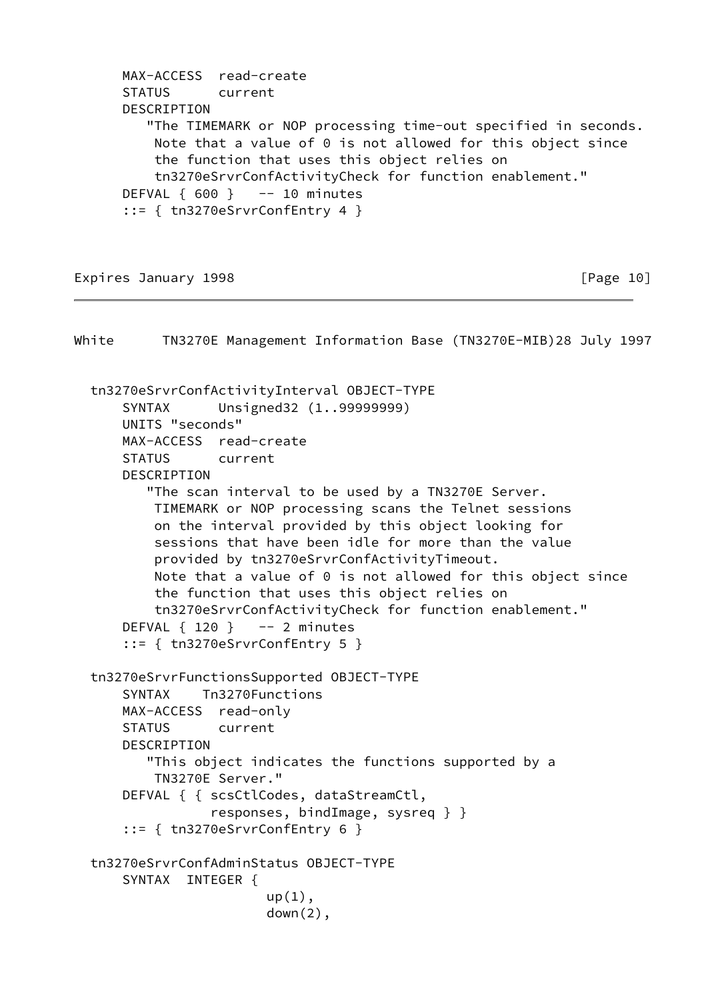MAX-ACCESS read-create STATUS current DESCRIPTION "The TIMEMARK or NOP processing time-out specified in seconds. Note that a value of 0 is not allowed for this object since the function that uses this object relies on tn3270eSrvrConfActivityCheck for function enablement." DEFVAL  $\{600\}$  -- 10 minutes ::= { tn3270eSrvrConfEntry 4 }

Expires January 1998 **Expires** 10

White TN3270E Management Information Base (TN3270E-MIB)28 July 1997 tn3270eSrvrConfActivityInterval OBJECT-TYPE SYNTAX Unsigned32 (1..99999999) UNITS "seconds" MAX-ACCESS read-create STATUS current DESCRIPTION "The scan interval to be used by a TN3270E Server. TIMEMARK or NOP processing scans the Telnet sessions on the interval provided by this object looking for sessions that have been idle for more than the value provided by tn3270eSrvrConfActivityTimeout. Note that a value of 0 is not allowed for this object since the function that uses this object relies on tn3270eSrvrConfActivityCheck for function enablement." DEFVAL  $\{ 120 \}$  -- 2 minutes ::= { tn3270eSrvrConfEntry 5 } tn3270eSrvrFunctionsSupported OBJECT-TYPE SYNTAX Tn3270Functions MAX-ACCESS read-only STATUS current DESCRIPTION "This object indicates the functions supported by a TN3270E Server." DEFVAL { { scsCtlCodes, dataStreamCtl, responses, bindImage, sysreq } } ::= { tn3270eSrvrConfEntry 6 } tn3270eSrvrConfAdminStatus OBJECT-TYPE SYNTAX INTEGER {  $up(1)$ , down(2),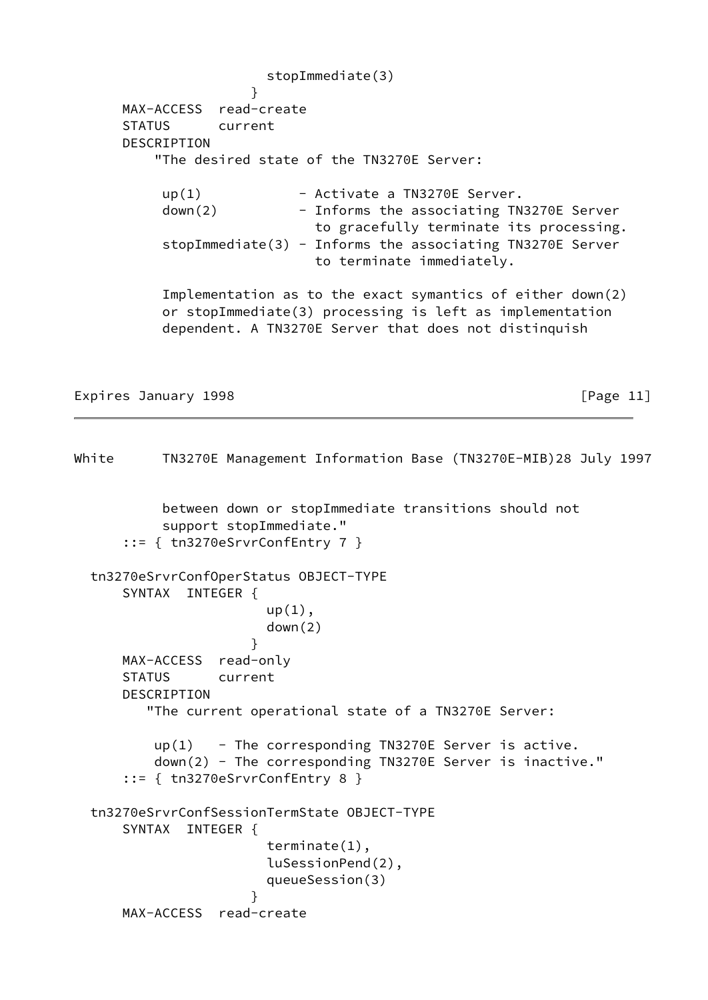stopImmediate(3) } MAX-ACCESS read-create STATUS current DESCRIPTION "The desired state of the TN3270E Server:  $up(1)$  - Activate a TN3270E Server. down(2) - Informs the associating TN3270E Server to gracefully terminate its processing. stopImmediate(3) - Informs the associating TN3270E Server to terminate immediately. Implementation as to the exact symantics of either down(2) or stopImmediate(3) processing is left as implementation dependent. A TN3270E Server that does not distinquish

Expires January 1998 **Expires** (Page 11)

White TN3270E Management Information Base (TN3270E-MIB)28 July 1997 between down or stopImmediate transitions should not support stopImmediate." ::= { tn3270eSrvrConfEntry 7 } tn3270eSrvrConfOperStatus OBJECT-TYPE SYNTAX INTEGER {  $up(1)$ , down(2) } MAX-ACCESS read-only STATUS current DESCRIPTION "The current operational state of a TN3270E Server:  $up(1)$  - The corresponding TN3270E Server is active. down(2) - The corresponding TN3270E Server is inactive." ::= { tn3270eSrvrConfEntry 8 } tn3270eSrvrConfSessionTermState OBJECT-TYPE SYNTAX INTEGER { terminate(1), luSessionPend(2), queueSession(3) } MAX-ACCESS read-create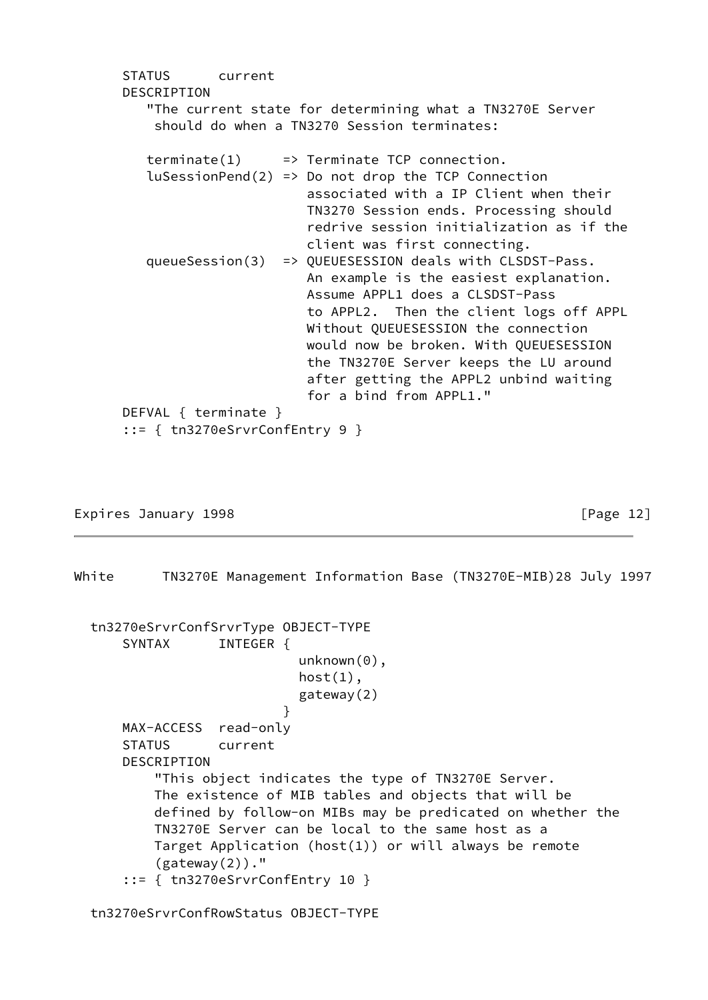STATUS current DESCRIPTION "The current state for determining what a TN3270E Server should do when a TN3270 Session terminates:  $\text{terminate}(1) \implies \text{Terminate TCP connection.}$  $l$ uSessionPend(2) => Do not drop the TCP Connection associated with a IP Client when their TN3270 Session ends. Processing should redrive session initialization as if the client was first connecting. queueSession(3) => QUEUESESSION deals with CLSDST-Pass. An example is the easiest explanation. Assume APPL1 does a CLSDST-Pass to APPL2. Then the client logs off APPL Without QUEUESESSION the connection would now be broken. With QUEUESESSION the TN3270E Server keeps the LU around after getting the APPL2 unbind waiting for a bind from APPL1." DEFVAL { terminate } ::= { tn3270eSrvrConfEntry 9 }

Expires January 1998 **Expires** 2012

White TN3270E Management Information Base (TN3270E-MIB)28 July 1997

 tn3270eSrvrConfSrvrType OBJECT-TYPE SYNTAX INTEGER { unknown(0),  $host(1)$ , gateway(2) } MAX-ACCESS read-only STATUS current DESCRIPTION "This object indicates the type of TN3270E Server. The existence of MIB tables and objects that will be defined by follow-on MIBs may be predicated on whether the TN3270E Server can be local to the same host as a Target Application (host(1)) or will always be remote  $(gateway(2))$ ." ::= { tn3270eSrvrConfEntry 10 }

tn3270eSrvrConfRowStatus OBJECT-TYPE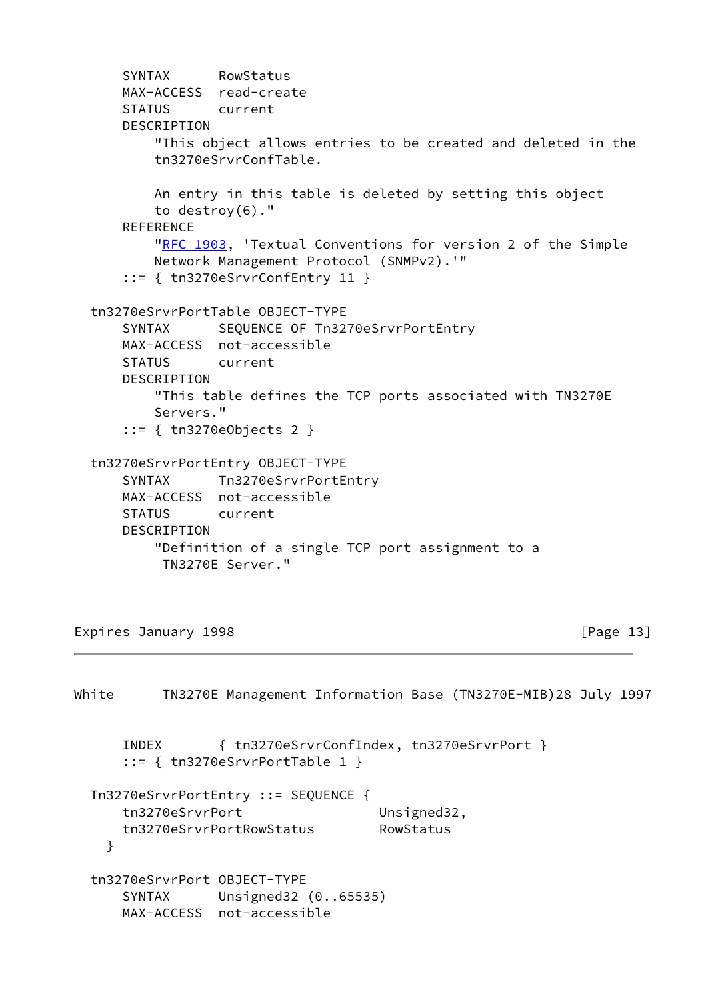```
 SYNTAX RowStatus
      MAX-ACCESS read-create
      STATUS current
      DESCRIPTION
          "This object allows entries to be created and deleted in the
          tn3270eSrvrConfTable.
          An entry in this table is deleted by setting this object
          to destroy(6)."
      REFERENCE
         "RFC 1903, 'Textual Conventions for version 2 of the Simple
          Network Management Protocol (SNMPv2).'"
      ::= { tn3270eSrvrConfEntry 11 }
  tn3270eSrvrPortTable OBJECT-TYPE
     SYNTAX SEQUENCE OF Tn3270eSrvrPortEntry
      MAX-ACCESS not-accessible
      STATUS current
      DESCRIPTION
          "This table defines the TCP ports associated with TN3270E
          Servers."
      ::= { tn3270eObjects 2 }
  tn3270eSrvrPortEntry OBJECT-TYPE
      SYNTAX Tn3270eSrvrPortEntry
      MAX-ACCESS not-accessible
      STATUS current
      DESCRIPTION
          "Definition of a single TCP port assignment to a
           TN3270E Server."
Expires January 1998 Expires 2011 [Page 13]
White TN3270E Management Information Base (TN3270E-MIB)28 July 1997
      INDEX { tn3270eSrvrConfIndex, tn3270eSrvrPort }
      ::= { tn3270eSrvrPortTable 1 }
  Tn3270eSrvrPortEntry ::= SEQUENCE {
     tn3270eSrvrPort Unsigned32,
      tn3270eSrvrPortRowStatus RowStatus
    }
```

```
 tn3270eSrvrPort OBJECT-TYPE
   SYNTAX Unsigned32 (0..65535)
    MAX-ACCESS not-accessible
```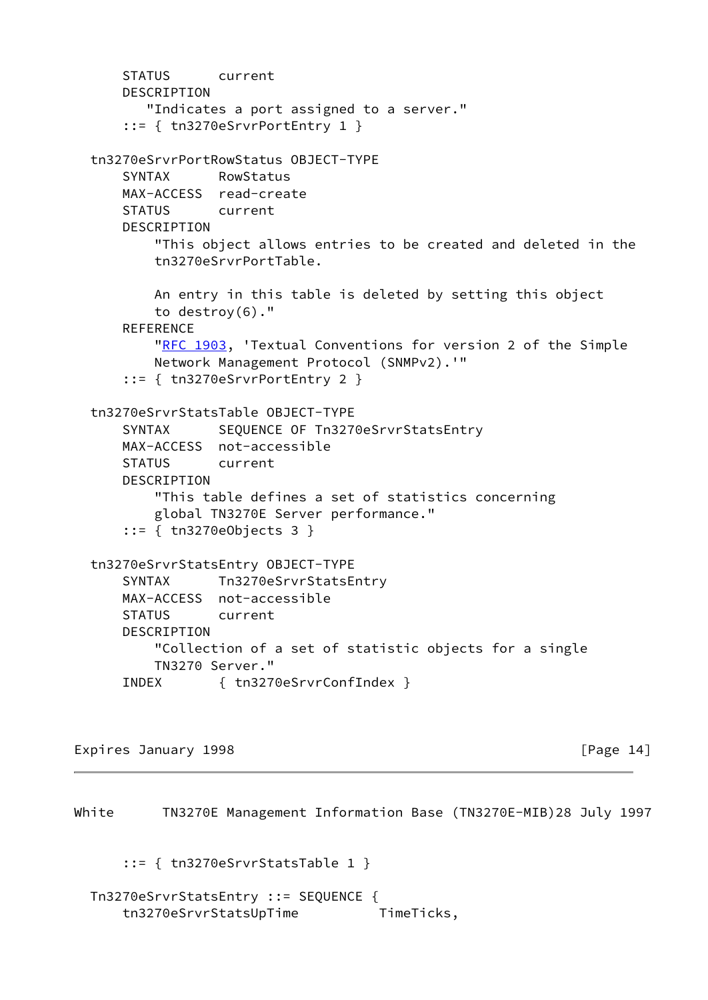```
 STATUS current
     DESCRIPTION
        "Indicates a port assigned to a server."
     ::= { tn3270eSrvrPortEntry 1 }
 tn3270eSrvrPortRowStatus OBJECT-TYPE
     SYNTAX RowStatus
    MAX-ACCESS read-create
    STATUS current
     DESCRIPTION
         "This object allows entries to be created and deleted in the
         tn3270eSrvrPortTable.
         An entry in this table is deleted by setting this object
         to destroy(6)."
     REFERENCE
        "RFC 1903, 'Textual Conventions for version 2 of the Simple
         Network Management Protocol (SNMPv2).'"
     ::= { tn3270eSrvrPortEntry 2 }
 tn3270eSrvrStatsTable OBJECT-TYPE
    SYNTAX SEQUENCE OF Tn3270eSrvrStatsEntry
     MAX-ACCESS not-accessible
    STATUS current
     DESCRIPTION
         "This table defines a set of statistics concerning
         global TN3270E Server performance."
     ::= { tn3270eObjects 3 }
 tn3270eSrvrStatsEntry OBJECT-TYPE
     SYNTAX Tn3270eSrvrStatsEntry
    MAX-ACCESS not-accessible
     STATUS current
     DESCRIPTION
         "Collection of a set of statistic objects for a single
        TN3270 Server."
     INDEX { tn3270eSrvrConfIndex }
```
Expires January 1998 **Expires** 1998

White TN3270E Management Information Base (TN3270E-MIB)28 July 1997 ::= { tn3270eSrvrStatsTable 1 } Tn3270eSrvrStatsEntry ::= SEQUENCE { tn3270eSrvrStatsUpTime TimeTicks,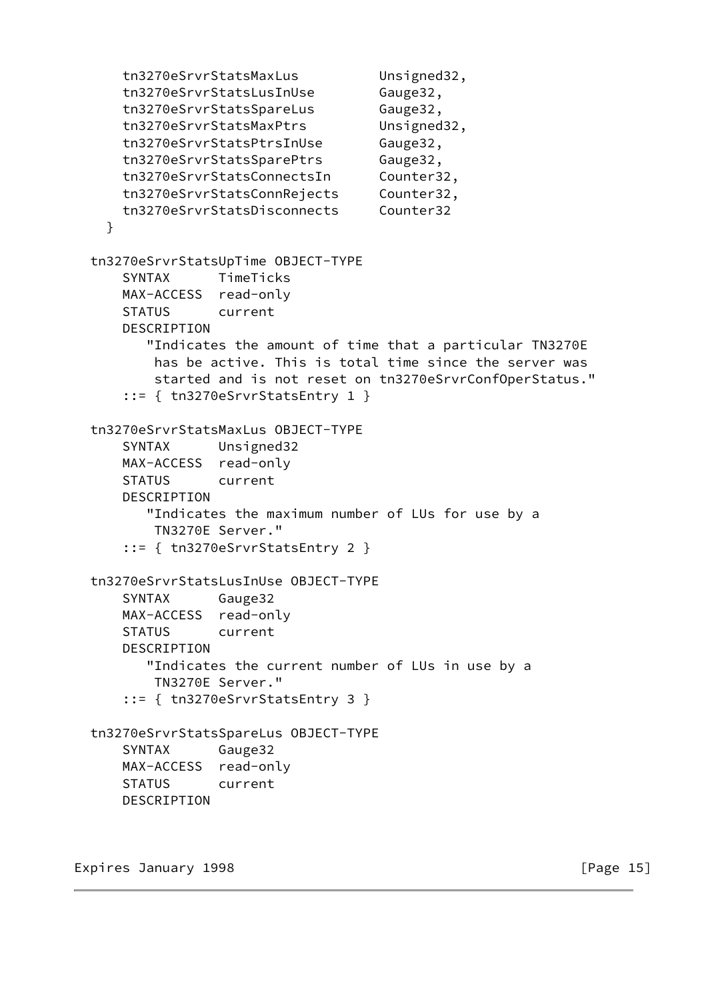tn3270eSrvrStatsMaxLus Unsigned32, tn3270eSrvrStatsLusInUse Gauge32, tn3270eSrvrStatsSpareLus Gauge32, tn3270eSrvrStatsMaxPtrs Unsigned32, tn3270eSrvrStatsPtrsInUse Gauge32, tn3270eSrvrStatsSparePtrs Gauge32, tn3270eSrvrStatsConnectsIn Counter32, tn3270eSrvrStatsConnRejects Counter32, tn3270eSrvrStatsDisconnects Counter32 } tn3270eSrvrStatsUpTime OBJECT-TYPE SYNTAX TimeTicks MAX-ACCESS read-only STATUS current DESCRIPTION "Indicates the amount of time that a particular TN3270E has be active. This is total time since the server was started and is not reset on tn3270eSrvrConfOperStatus." ::= { tn3270eSrvrStatsEntry 1 } tn3270eSrvrStatsMaxLus OBJECT-TYPE SYNTAX Unsigned32 MAX-ACCESS read-only STATUS current DESCRIPTION "Indicates the maximum number of LUs for use by a TN3270E Server." ::= { tn3270eSrvrStatsEntry 2 } tn3270eSrvrStatsLusInUse OBJECT-TYPE SYNTAX Gauge32 MAX-ACCESS read-only STATUS current DESCRIPTION "Indicates the current number of LUs in use by a TN3270E Server." ::= { tn3270eSrvrStatsEntry 3 } tn3270eSrvrStatsSpareLus OBJECT-TYPE SYNTAX Gauge32 MAX-ACCESS read-only STATUS current DESCRIPTION

Expires January 1998 **Expires** 15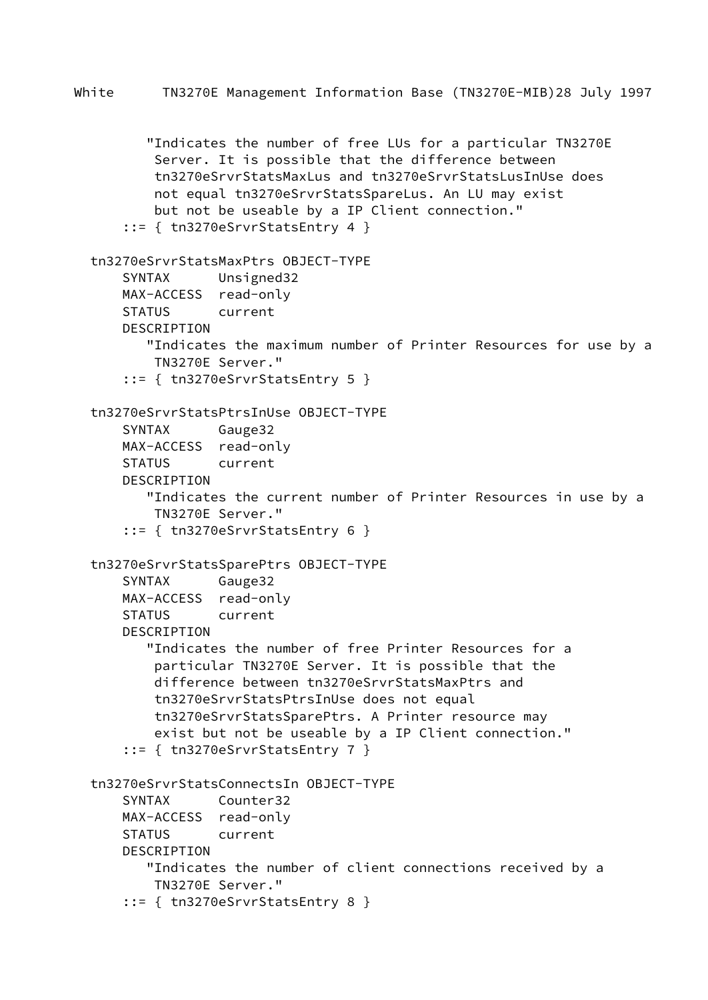```
 "Indicates the number of free LUs for a particular TN3270E
         Server. It is possible that the difference between
         tn3270eSrvrStatsMaxLus and tn3270eSrvrStatsLusInUse does
         not equal tn3270eSrvrStatsSpareLus. An LU may exist
         but not be useable by a IP Client connection."
     ::= { tn3270eSrvrStatsEntry 4 }
 tn3270eSrvrStatsMaxPtrs OBJECT-TYPE
     SYNTAX Unsigned32
    MAX-ACCESS read-only
     STATUS current
     DESCRIPTION
        "Indicates the maximum number of Printer Resources for use by a
         TN3270E Server."
     ::= { tn3270eSrvrStatsEntry 5 }
 tn3270eSrvrStatsPtrsInUse OBJECT-TYPE
     SYNTAX Gauge32
     MAX-ACCESS read-only
     STATUS current
     DESCRIPTION
        "Indicates the current number of Printer Resources in use by a
         TN3270E Server."
     ::= { tn3270eSrvrStatsEntry 6 }
 tn3270eSrvrStatsSparePtrs OBJECT-TYPE
     SYNTAX Gauge32
    MAX-ACCESS read-only
     STATUS current
     DESCRIPTION
        "Indicates the number of free Printer Resources for a
         particular TN3270E Server. It is possible that the
         difference between tn3270eSrvrStatsMaxPtrs and
         tn3270eSrvrStatsPtrsInUse does not equal
         tn3270eSrvrStatsSparePtrs. A Printer resource may
         exist but not be useable by a IP Client connection."
     ::= { tn3270eSrvrStatsEntry 7 }
 tn3270eSrvrStatsConnectsIn OBJECT-TYPE
     SYNTAX Counter32
    MAX-ACCESS read-only
     STATUS current
     DESCRIPTION
        "Indicates the number of client connections received by a
         TN3270E Server."
     ::= { tn3270eSrvrStatsEntry 8 }
```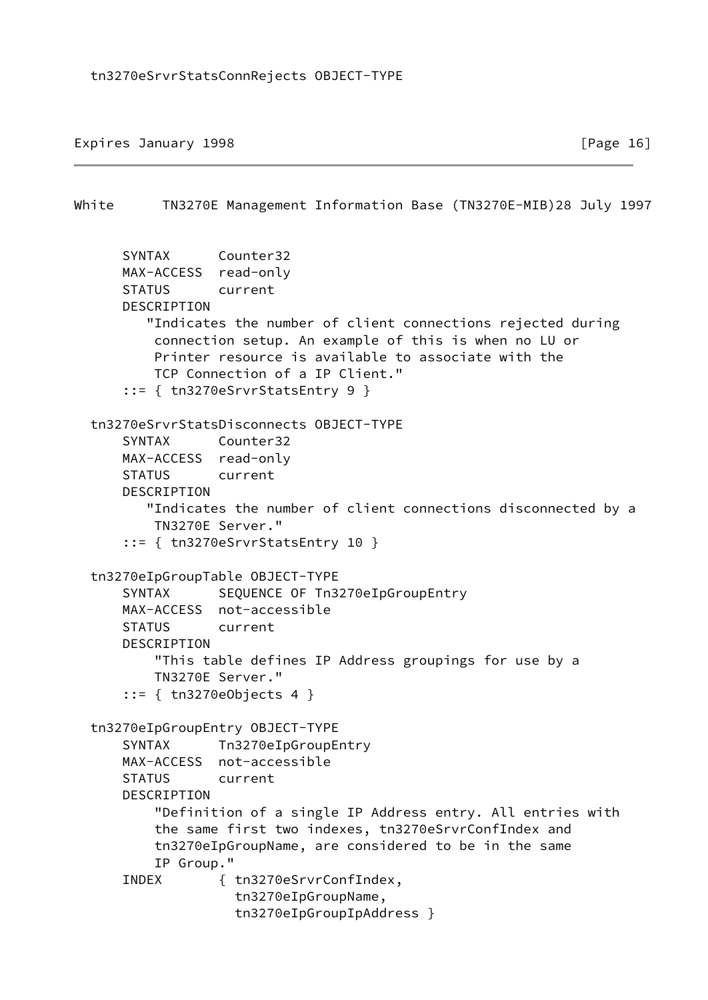Expires January 1998 **Expires** 2011 **Expires** 2011 **Expires** 2012 **Expires** 2012 **Expires** 2012 **Expires** 2012 **Expires** 2012 **EXP** 

```
White TN3270E Management Information Base (TN3270E-MIB)28 July 1997
       SYNTAX Counter32
       MAX-ACCESS read-only
       STATUS current
       DESCRIPTION
          "Indicates the number of client connections rejected during
           connection setup. An example of this is when no LU or
           Printer resource is available to associate with the
           TCP Connection of a IP Client."
       ::= { tn3270eSrvrStatsEntry 9 }
   tn3270eSrvrStatsDisconnects OBJECT-TYPE
       SYNTAX Counter32
      MAX-ACCESS read-only
       STATUS current
       DESCRIPTION
          "Indicates the number of client connections disconnected by a
           TN3270E Server."
       ::= { tn3270eSrvrStatsEntry 10 }
   tn3270eIpGroupTable OBJECT-TYPE
      SYNTAX SEQUENCE OF Tn3270eIpGroupEntry
      MAX-ACCESS not-accessible
       STATUS current
       DESCRIPTION
           "This table defines IP Address groupings for use by a
          TN3270E Server."
       ::= { tn3270eObjects 4 }
   tn3270eIpGroupEntry OBJECT-TYPE
       SYNTAX Tn3270eIpGroupEntry
       MAX-ACCESS not-accessible
       STATUS current
       DESCRIPTION
           "Definition of a single IP Address entry. All entries with
           the same first two indexes, tn3270eSrvrConfIndex and
           tn3270eIpGroupName, are considered to be in the same
           IP Group."
       INDEX { tn3270eSrvrConfIndex,
                     tn3270eIpGroupName,
                     tn3270eIpGroupIpAddress }
```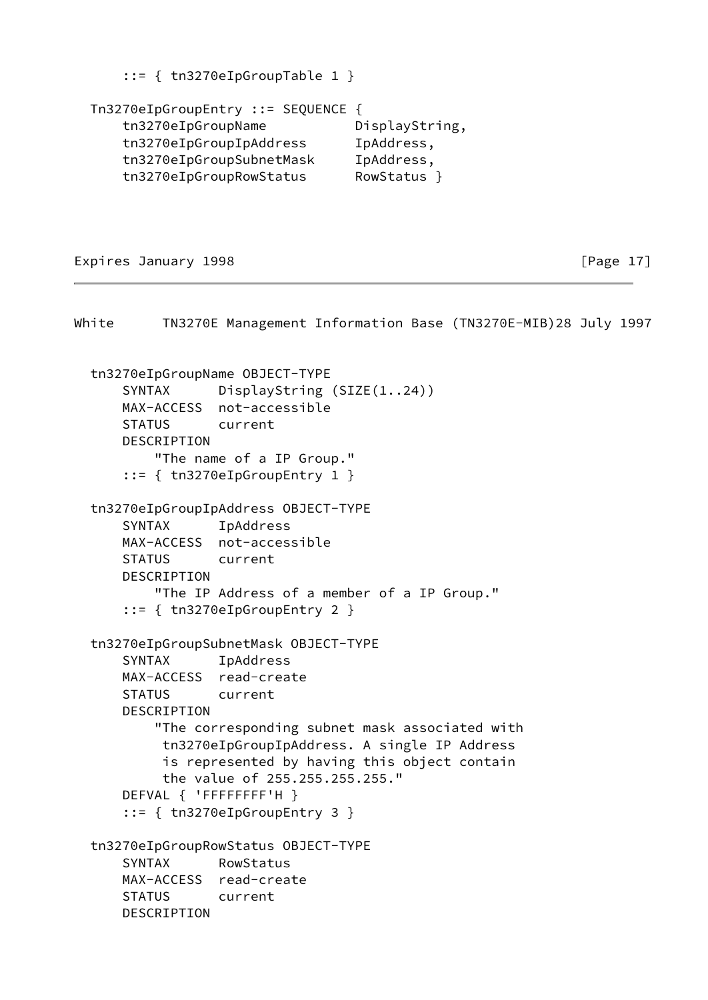::= { tn3270eIpGroupTable 1 }

 Tn3270eIpGroupEntry ::= SEQUENCE { tn3270eIpGroupName DisplayString, tn3270eIpGroupIpAddress IpAddress, tn3270eIpGroupSubnetMask IpAddress, tn3270eIpGroupRowStatus RowStatus }

Expires January 1998 **Expires** 2011 [Page 17]

White TN3270E Management Information Base (TN3270E-MIB)28 July 1997 tn3270eIpGroupName OBJECT-TYPE SYNTAX DisplayString (SIZE(1..24)) MAX-ACCESS not-accessible STATUS current DESCRIPTION "The name of a IP Group." ::= { tn3270eIpGroupEntry 1 } tn3270eIpGroupIpAddress OBJECT-TYPE SYNTAX IpAddress MAX-ACCESS not-accessible STATUS current DESCRIPTION "The IP Address of a member of a IP Group." ::= { tn3270eIpGroupEntry 2 } tn3270eIpGroupSubnetMask OBJECT-TYPE SYNTAX IpAddress MAX-ACCESS read-create STATUS current DESCRIPTION "The corresponding subnet mask associated with tn3270eIpGroupIpAddress. A single IP Address is represented by having this object contain the value of 255.255.255.255." DEFVAL { 'FFFFFFFF'H } ::= { tn3270eIpGroupEntry 3 } tn3270eIpGroupRowStatus OBJECT-TYPE SYNTAX RowStatus MAX-ACCESS read-create STATUS current DESCRIPTION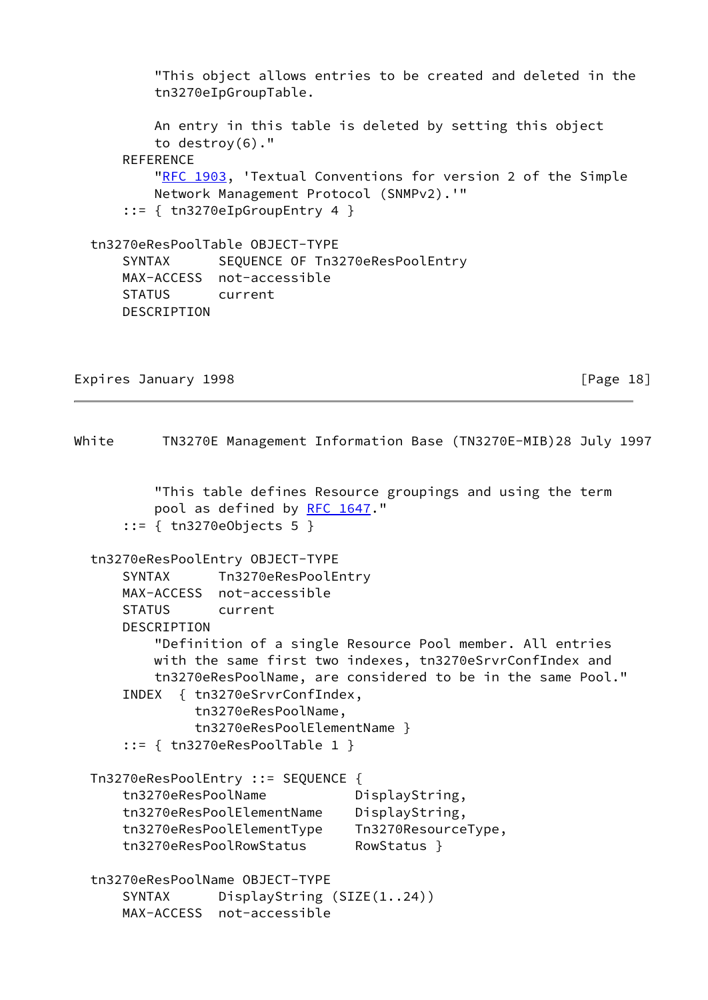```
 "This object allows entries to be created and deleted in the
         tn3270eIpGroupTable.
         An entry in this table is deleted by setting this object
         to destroy(6)."
    REFERENCE
         "RFC 1903, 'Textual Conventions for version 2 of the Simple
         Network Management Protocol (SNMPv2).'"
     ::= { tn3270eIpGroupEntry 4 }
 tn3270eResPoolTable OBJECT-TYPE
    SYNTAX SEQUENCE OF Tn3270eResPoolEntry
    MAX-ACCESS not-accessible
     STATUS current
     DESCRIPTION
```
Expires January 1998 **Expires** 2011 [Page 18]

White TN3270E Management Information Base (TN3270E-MIB)28 July 1997 "This table defines Resource groupings and using the term pool as defined by [RFC 1647](https://datatracker.ietf.org/doc/pdf/rfc1647)." ::= { tn3270eObjects 5 } tn3270eResPoolEntry OBJECT-TYPE SYNTAX Tn3270eResPoolEntry MAX-ACCESS not-accessible STATUS current DESCRIPTION "Definition of a single Resource Pool member. All entries with the same first two indexes, tn3270eSrvrConfIndex and tn3270eResPoolName, are considered to be in the same Pool." INDEX { tn3270eSrvrConfIndex, tn3270eResPoolName, tn3270eResPoolElementName } ::= { tn3270eResPoolTable 1 } Tn3270eResPoolEntry ::= SEQUENCE { tn3270eResPoolName DisplayString, tn3270eResPoolElementName DisplayString, tn3270eResPoolElementType Tn3270ResourceType, tn3270eResPoolRowStatus RowStatus } tn3270eResPoolName OBJECT-TYPE SYNTAX DisplayString (SIZE(1..24)) MAX-ACCESS not-accessible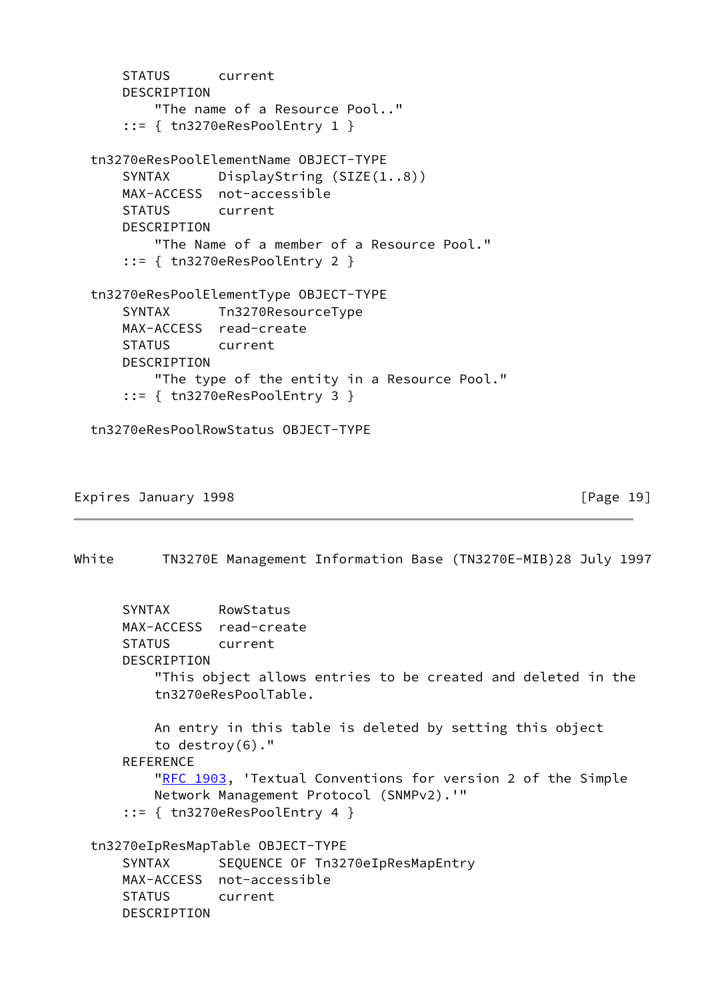```
 STATUS current
     DESCRIPTION
         "The name of a Resource Pool.."
     ::= { tn3270eResPoolEntry 1 }
 tn3270eResPoolElementName OBJECT-TYPE
    SYNTAX DisplayString (SIZE(1..8))
     MAX-ACCESS not-accessible
    STATUS current
    DESCRIPTION
         "The Name of a member of a Resource Pool."
     ::= { tn3270eResPoolEntry 2 }
 tn3270eResPoolElementType OBJECT-TYPE
     SYNTAX Tn3270ResourceType
    MAX-ACCESS read-create
     STATUS current
    DESCRIPTION
         "The type of the entity in a Resource Pool."
     ::= { tn3270eResPoolEntry 3 }
```
tn3270eResPoolRowStatus OBJECT-TYPE

Expires January 1998 **Expires** 2011 [Page 19]

White TN3270E Management Information Base (TN3270E-MIB)28 July 1997

```
 SYNTAX RowStatus
     MAX-ACCESS read-create
    STATUS current
     DESCRIPTION
         "This object allows entries to be created and deleted in the
         tn3270eResPoolTable.
         An entry in this table is deleted by setting this object
         to destroy(6)."
     REFERENCE
        "RFC 1903, 'Textual Conventions for version 2 of the Simple
         Network Management Protocol (SNMPv2).'"
     ::= { tn3270eResPoolEntry 4 }
 tn3270eIpResMapTable OBJECT-TYPE
    SYNTAX SEQUENCE OF Tn3270eIpResMapEntry
     MAX-ACCESS not-accessible
     STATUS current
     DESCRIPTION
```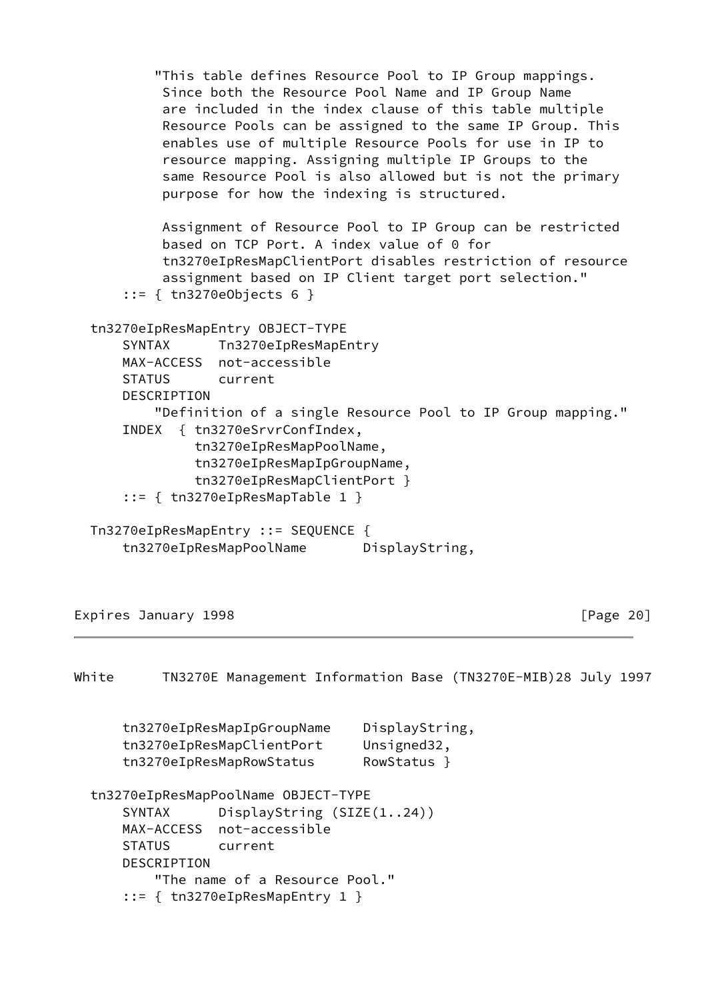```
 "This table defines Resource Pool to IP Group mappings.
           Since both the Resource Pool Name and IP Group Name
           are included in the index clause of this table multiple
           Resource Pools can be assigned to the same IP Group. This
           enables use of multiple Resource Pools for use in IP to
           resource mapping. Assigning multiple IP Groups to the
           same Resource Pool is also allowed but is not the primary
           purpose for how the indexing is structured.
           Assignment of Resource Pool to IP Group can be restricted
           based on TCP Port. A index value of 0 for
           tn3270eIpResMapClientPort disables restriction of resource
           assignment based on IP Client target port selection."
       ::= { tn3270eObjects 6 }
  tn3270eIpResMapEntry OBJECT-TYPE
      SYNTAX Tn3270eIpResMapEntry
      MAX-ACCESS not-accessible
       STATUS current
       DESCRIPTION
           "Definition of a single Resource Pool to IP Group mapping."
       INDEX { tn3270eSrvrConfIndex,
               tn3270eIpResMapPoolName,
               tn3270eIpResMapIpGroupName,
               tn3270eIpResMapClientPort }
       ::= { tn3270eIpResMapTable 1 }
  Tn3270eIpResMapEntry ::= SEQUENCE {
      tn3270eIpResMapPoolName DisplayString,
Expires January 1998 Expires 20]
White TN3270E Management Information Base (TN3270E-MIB)28 July 1997
```

| tn3270eIpResMapIpGroupName | DisplayString, |
|----------------------------|----------------|
| tn3270eIpResMapClientPort  | Unsigned32,    |
| tn3270eIpResMapRowStatus   | RowStatus }    |

```
 tn3270eIpResMapPoolName OBJECT-TYPE
     SYNTAX DisplayString (SIZE(1..24))
    MAX-ACCESS not-accessible
     STATUS current
    DESCRIPTION
         "The name of a Resource Pool."
     ::= { tn3270eIpResMapEntry 1 }
```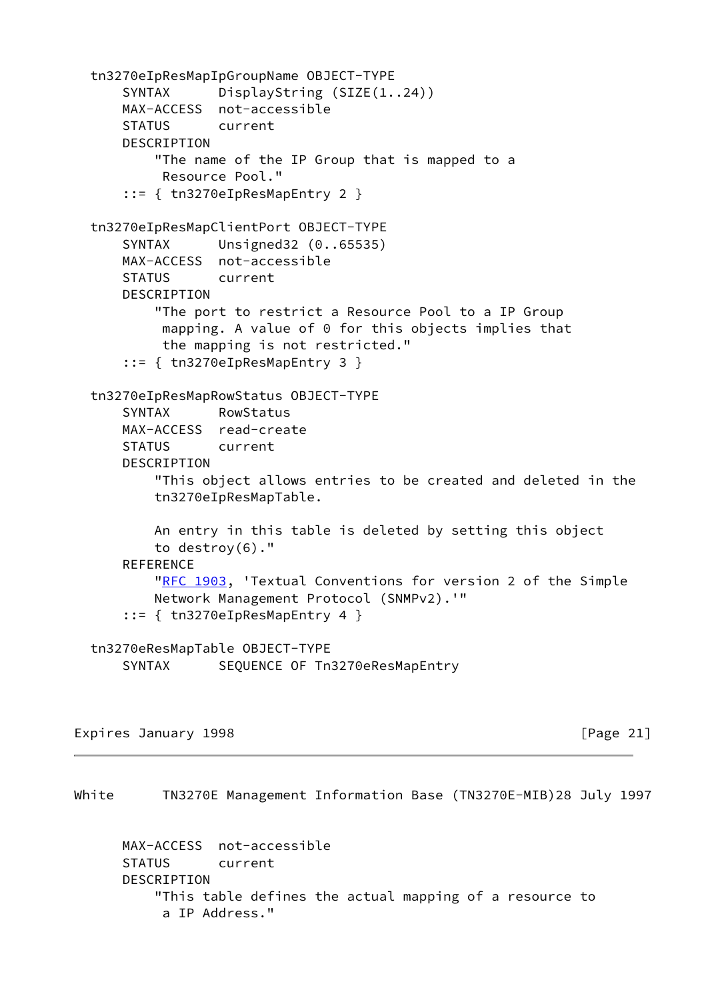```
 tn3270eIpResMapIpGroupName OBJECT-TYPE
     SYNTAX DisplayString (SIZE(1..24))
    MAX-ACCESS not-accessible
     STATUS current
     DESCRIPTION
         "The name of the IP Group that is mapped to a
          Resource Pool."
     ::= { tn3270eIpResMapEntry 2 }
 tn3270eIpResMapClientPort OBJECT-TYPE
     SYNTAX Unsigned32 (0..65535)
     MAX-ACCESS not-accessible
     STATUS current
     DESCRIPTION
         "The port to restrict a Resource Pool to a IP Group
          mapping. A value of 0 for this objects implies that
          the mapping is not restricted."
     ::= { tn3270eIpResMapEntry 3 }
 tn3270eIpResMapRowStatus OBJECT-TYPE
     SYNTAX RowStatus
    MAX-ACCESS read-create
     STATUS current
     DESCRIPTION
         "This object allows entries to be created and deleted in the
         tn3270eIpResMapTable.
         An entry in this table is deleted by setting this object
         to destroy(6)."
    REFERENCE
        "RFC 1903, 'Textual Conventions for version 2 of the Simple
         Network Management Protocol (SNMPv2).'"
     ::= { tn3270eIpResMapEntry 4 }
 tn3270eResMapTable OBJECT-TYPE
    SYNTAX SEQUENCE OF Tn3270eResMapEntry
```
Expires January 1998 [Page 21]

White TN3270E Management Information Base (TN3270E-MIB)28 July 1997

 MAX-ACCESS not-accessible STATUS current DESCRIPTION "This table defines the actual mapping of a resource to a IP Address."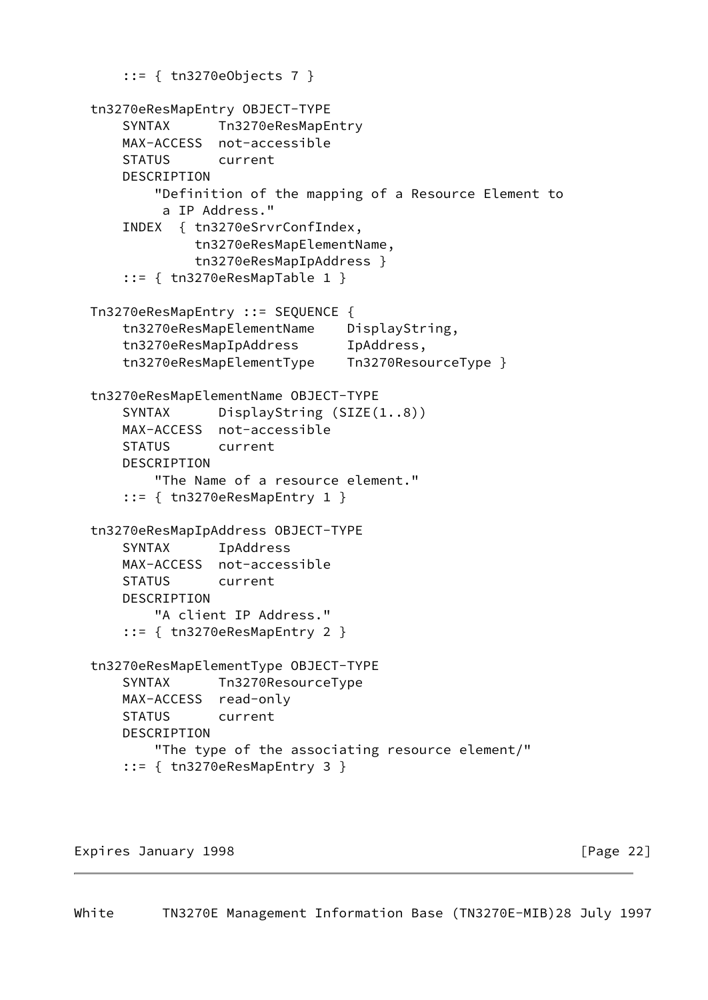```
 ::= { tn3270eObjects 7 }
 tn3270eResMapEntry OBJECT-TYPE
    SYNTAX Tn3270eResMapEntry
     MAX-ACCESS not-accessible
     STATUS current
    DESCRIPTION
         "Definition of the mapping of a Resource Element to
          a IP Address."
     INDEX { tn3270eSrvrConfIndex,
              tn3270eResMapElementName,
              tn3270eResMapIpAddress }
     ::= { tn3270eResMapTable 1 }
 Tn3270eResMapEntry ::= SEQUENCE {
     tn3270eResMapElementName DisplayString,
     tn3270eResMapIpAddress IpAddress,
    tn3270eResMapElementType Tn3270ResourceType }
 tn3270eResMapElementName OBJECT-TYPE
     SYNTAX DisplayString (SIZE(1..8))
    MAX-ACCESS not-accessible
     STATUS current
    DESCRIPTION
         "The Name of a resource element."
     ::= { tn3270eResMapEntry 1 }
 tn3270eResMapIpAddress OBJECT-TYPE
     SYNTAX IpAddress
    MAX-ACCESS not-accessible
     STATUS current
    DESCRIPTION
         "A client IP Address."
     ::= { tn3270eResMapEntry 2 }
 tn3270eResMapElementType OBJECT-TYPE
     SYNTAX Tn3270ResourceType
     MAX-ACCESS read-only
    STATUS current
     DESCRIPTION
         "The type of the associating resource element/"
     ::= { tn3270eResMapEntry 3 }
```
Expires January 1998 **Expires** 22]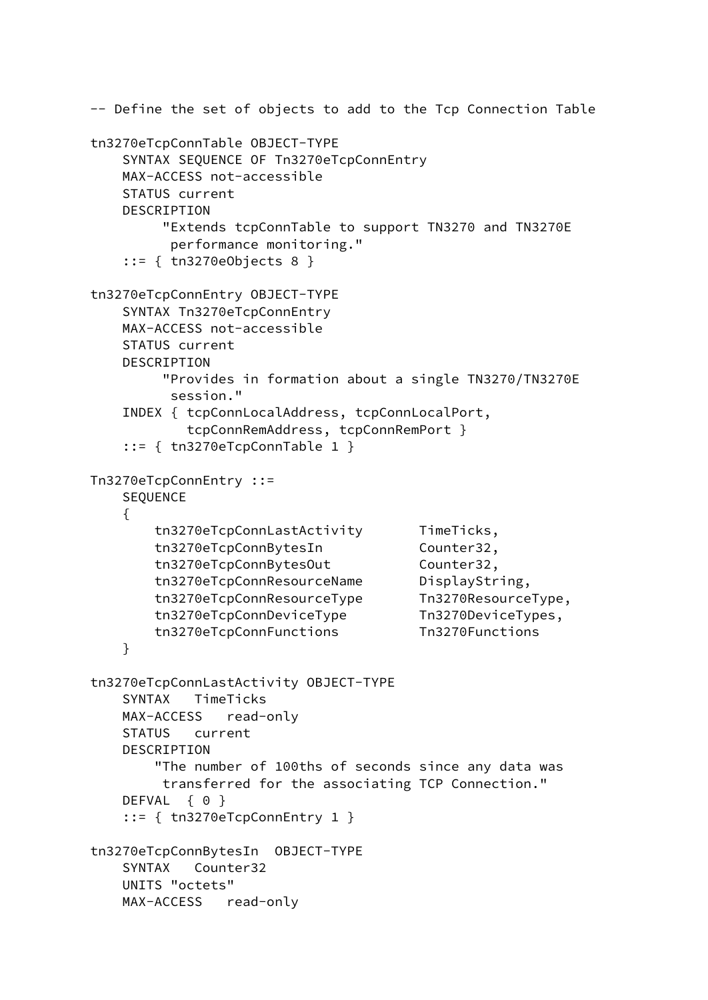```
 -- Define the set of objects to add to the Tcp Connection Table
 tn3270eTcpConnTable OBJECT-TYPE
     SYNTAX SEQUENCE OF Tn3270eTcpConnEntry
    MAX-ACCESS not-accessible
    STATUS current
    DESCRIPTION
          "Extends tcpConnTable to support TN3270 and TN3270E
          performance monitoring."
     ::= { tn3270eObjects 8 }
 tn3270eTcpConnEntry OBJECT-TYPE
     SYNTAX Tn3270eTcpConnEntry
    MAX-ACCESS not-accessible
     STATUS current
     DESCRIPTION
          "Provides in formation about a single TN3270/TN3270E
          session."
     INDEX { tcpConnLocalAddress, tcpConnLocalPort,
             tcpConnRemAddress, tcpConnRemPort }
     ::= { tn3270eTcpConnTable 1 }
 Tn3270eTcpConnEntry ::=
     SEQUENCE
     {
        tn3270eTcpConnLastActivity TimeTicks,
       tn3270eTcpConnBytesIn Counter32,
       tn3270eTcpConnBytesOut Counter32,
        tn3270eTcpConnResourceName DisplayString,
        tn3270eTcpConnResourceType Tn3270ResourceType,
        tn3270eTcpConnDeviceType Tn3270DeviceTypes,
        tn3270eTcpConnFunctions Tn3270Functions
     }
 tn3270eTcpConnLastActivity OBJECT-TYPE
     SYNTAX TimeTicks
    MAX-ACCESS read-only
     STATUS current
    DESCRIPTION
         "The number of 100ths of seconds since any data was
         transferred for the associating TCP Connection."
   DEFVAL { 0 }
     ::= { tn3270eTcpConnEntry 1 }
 tn3270eTcpConnBytesIn OBJECT-TYPE
    SYNTAX Counter32
    UNITS "octets"
    MAX-ACCESS read-only
```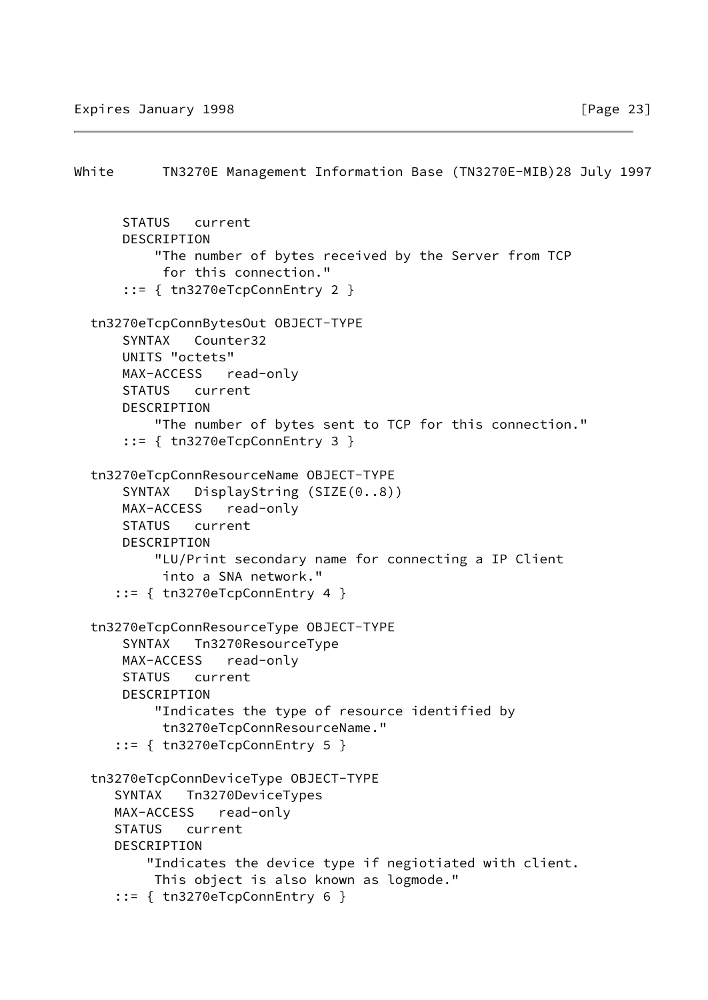```
White TN3270E Management Information Base (TN3270E-MIB)28 July 1997
       STATUS current
       DESCRIPTION
           "The number of bytes received by the Server from TCP
            for this connection."
       ::= { tn3270eTcpConnEntry 2 }
   tn3270eTcpConnBytesOut OBJECT-TYPE
       SYNTAX Counter32
       UNITS "octets"
       MAX-ACCESS read-only
       STATUS current
       DESCRIPTION
           "The number of bytes sent to TCP for this connection."
       ::= { tn3270eTcpConnEntry 3 }
   tn3270eTcpConnResourceName OBJECT-TYPE
      SYNTAX DisplayString (SIZE(0..8))
       MAX-ACCESS read-only
       STATUS current
       DESCRIPTION
           "LU/Print secondary name for connecting a IP Client
            into a SNA network."
      ::= { tn3270eTcpConnEntry 4 }
   tn3270eTcpConnResourceType OBJECT-TYPE
       SYNTAX Tn3270ResourceType
       MAX-ACCESS read-only
       STATUS current
       DESCRIPTION
           "Indicates the type of resource identified by
            tn3270eTcpConnResourceName."
      ::= { tn3270eTcpConnEntry 5 }
   tn3270eTcpConnDeviceType OBJECT-TYPE
      SYNTAX Tn3270DeviceTypes
      MAX-ACCESS read-only
      STATUS current
      DESCRIPTION
          "Indicates the device type if negiotiated with client.
           This object is also known as logmode."
      ::= { tn3270eTcpConnEntry 6 }
```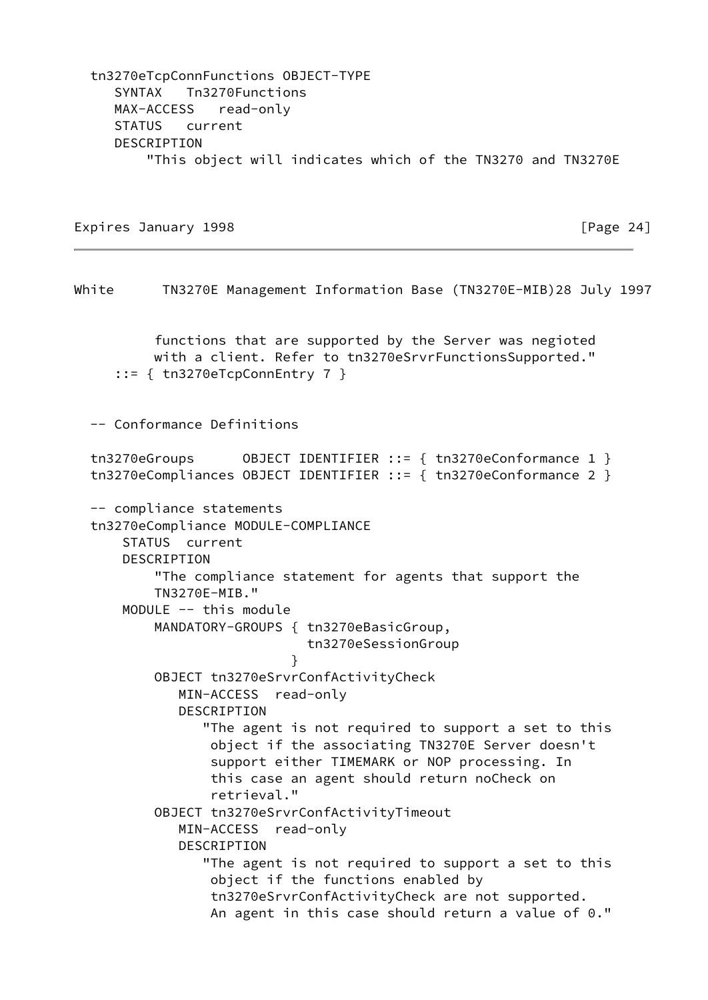tn3270eTcpConnFunctions OBJECT-TYPE SYNTAX Tn3270Functions MAX-ACCESS read-only STATUS current DESCRIPTION "This object will indicates which of the TN3270 and TN3270E

Expires January 1998 **Expires** 24]

White TN3270E Management Information Base (TN3270E-MIB)28 July 1997 functions that are supported by the Server was negioted with a client. Refer to tn3270eSrvrFunctionsSupported." ::= { tn3270eTcpConnEntry 7 } -- Conformance Definitions tn3270eGroups 0BJECT IDENTIFIER ::= { tn3270eConformance 1 } tn3270eCompliances OBJECT IDENTIFIER ::= { tn3270eConformance 2 } -- compliance statements tn3270eCompliance MODULE-COMPLIANCE STATUS current DESCRIPTION "The compliance statement for agents that support the TN3270E-MIB." MODULE -- this module MANDATORY-GROUPS { tn3270eBasicGroup, tn3270eSessionGroup } OBJECT tn3270eSrvrConfActivityCheck MIN-ACCESS read-only DESCRIPTION "The agent is not required to support a set to this object if the associating TN3270E Server doesn't support either TIMEMARK or NOP processing. In this case an agent should return noCheck on retrieval." OBJECT tn3270eSrvrConfActivityTimeout MIN-ACCESS read-only DESCRIPTION "The agent is not required to support a set to this object if the functions enabled by tn3270eSrvrConfActivityCheck are not supported. An agent in this case should return a value of 0."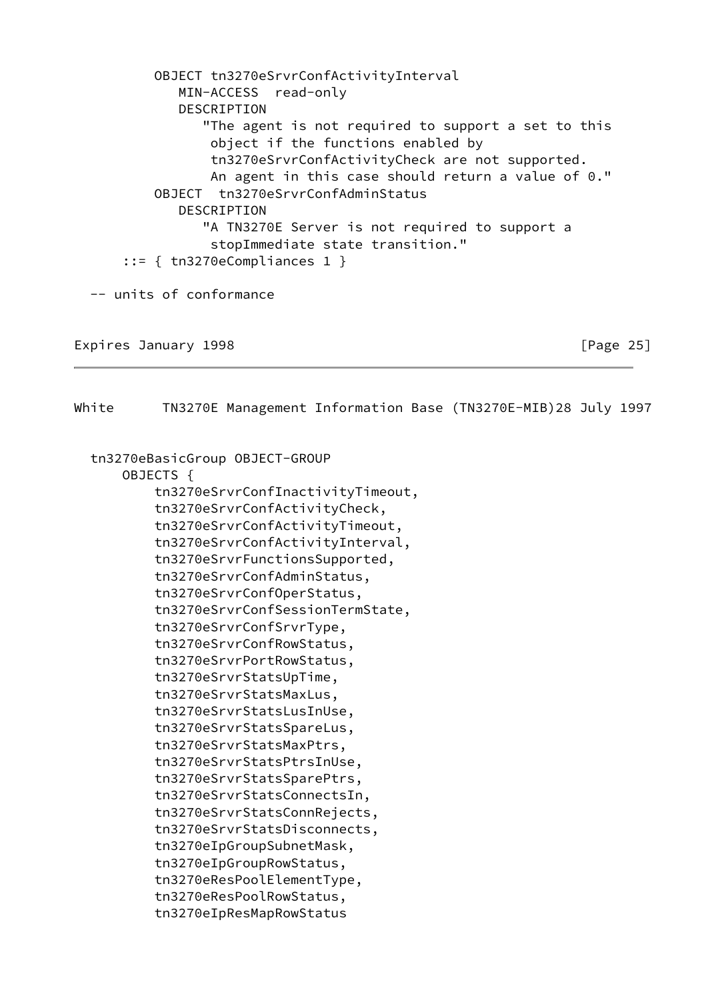OBJECT tn3270eSrvrConfActivityInterval MIN-ACCESS read-only DESCRIPTION "The agent is not required to support a set to this object if the functions enabled by tn3270eSrvrConfActivityCheck are not supported. An agent in this case should return a value of 0." OBJECT tn3270eSrvrConfAdminStatus DESCRIPTION "A TN3270E Server is not required to support a stopImmediate state transition."  $::=$  { tn3270eCompliances 1 } -- units of conformance

Expires January 1998 [Page 25]

White TN3270E Management Information Base (TN3270E-MIB)28 July 1997 tn3270eBasicGroup OBJECT-GROUP OBJECTS { tn3270eSrvrConfInactivityTimeout, tn3270eSrvrConfActivityCheck, tn3270eSrvrConfActivityTimeout, tn3270eSrvrConfActivityInterval, tn3270eSrvrFunctionsSupported, tn3270eSrvrConfAdminStatus, tn3270eSrvrConfOperStatus, tn3270eSrvrConfSessionTermState, tn3270eSrvrConfSrvrType, tn3270eSrvrConfRowStatus, tn3270eSrvrPortRowStatus, tn3270eSrvrStatsUpTime, tn3270eSrvrStatsMaxLus, tn3270eSrvrStatsLusInUse, tn3270eSrvrStatsSpareLus, tn3270eSrvrStatsMaxPtrs, tn3270eSrvrStatsPtrsInUse, tn3270eSrvrStatsSparePtrs, tn3270eSrvrStatsConnectsIn, tn3270eSrvrStatsConnRejects, tn3270eSrvrStatsDisconnects, tn3270eIpGroupSubnetMask, tn3270eIpGroupRowStatus, tn3270eResPoolElementType, tn3270eResPoolRowStatus, tn3270eIpResMapRowStatus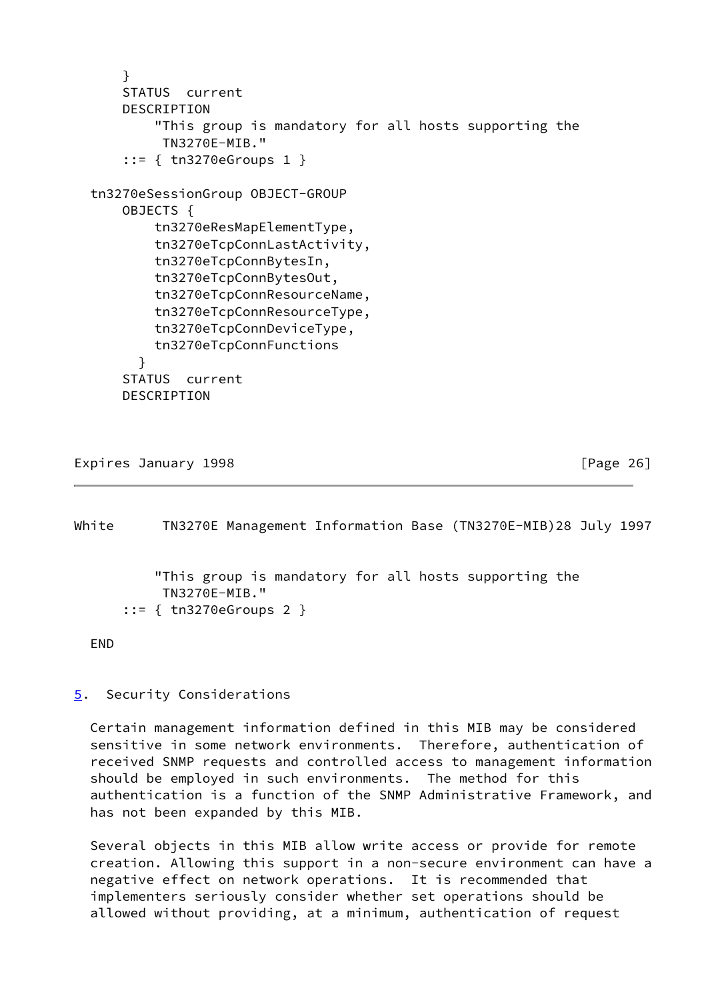```
 }
     STATUS current
     DESCRIPTION
         "This group is mandatory for all hosts supporting the
          TN3270E-MIB."
     ::= { tn3270eGroups 1 }
 tn3270eSessionGroup OBJECT-GROUP
     OBJECTS {
         tn3270eResMapElementType,
         tn3270eTcpConnLastActivity,
         tn3270eTcpConnBytesIn,
         tn3270eTcpConnBytesOut,
         tn3270eTcpConnResourceName,
         tn3270eTcpConnResourceType,
         tn3270eTcpConnDeviceType,
         tn3270eTcpConnFunctions
       }
     STATUS current
     DESCRIPTION
```

```
Expires January 1998 Expires 26]
```
<span id="page-29-0"></span>White TN3270E Management Information Base (TN3270E-MIB)28 July 1997 "This group is mandatory for all hosts supporting the TN3270E-MIB." ::= { tn3270eGroups 2 }

END

<span id="page-29-1"></span>[5](#page-29-1). Security Considerations

 Certain management information defined in this MIB may be considered sensitive in some network environments. Therefore, authentication of received SNMP requests and controlled access to management information should be employed in such environments. The method for this authentication is a function of the SNMP Administrative Framework, and has not been expanded by this MIB.

 Several objects in this MIB allow write access or provide for remote creation. Allowing this support in a non-secure environment can have a negative effect on network operations. It is recommended that implementers seriously consider whether set operations should be allowed without providing, at a minimum, authentication of request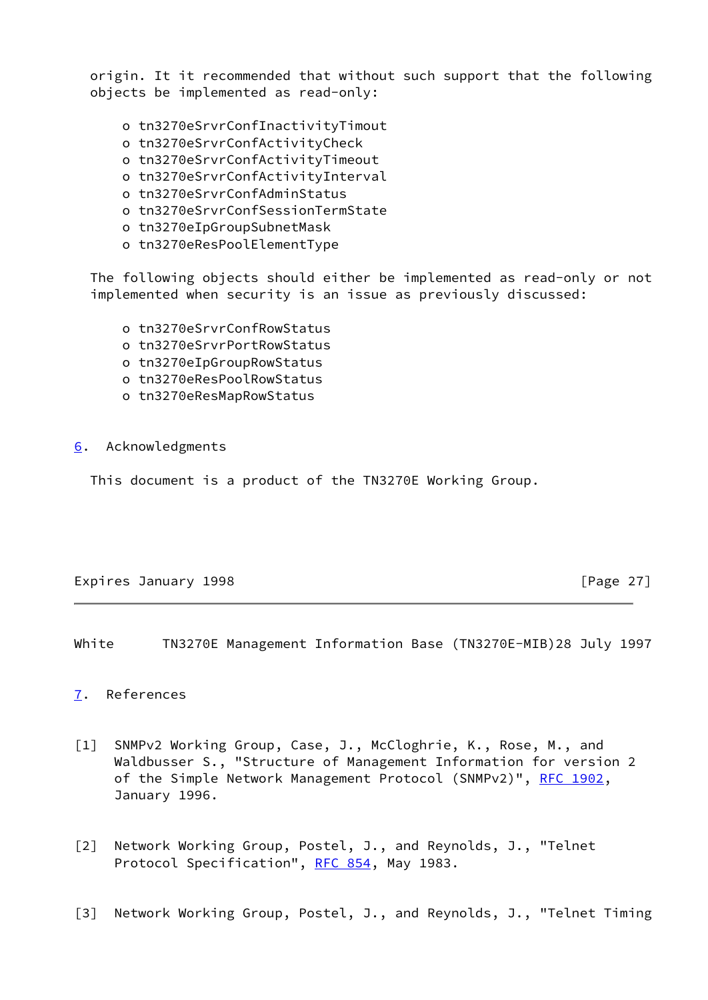origin. It it recommended that without such support that the following objects be implemented as read-only:

- o tn3270eSrvrConfInactivityTimout
- o tn3270eSrvrConfActivityCheck
- o tn3270eSrvrConfActivityTimeout
- o tn3270eSrvrConfActivityInterval
- o tn3270eSrvrConfAdminStatus
- o tn3270eSrvrConfSessionTermState
- o tn3270eIpGroupSubnetMask
- o tn3270eResPoolElementType

 The following objects should either be implemented as read-only or not implemented when security is an issue as previously discussed:

- o tn3270eSrvrConfRowStatus
- o tn3270eSrvrPortRowStatus
- o tn3270eIpGroupRowStatus
- o tn3270eResPoolRowStatus
- o tn3270eResMapRowStatus
- <span id="page-30-3"></span>[6](#page-30-3). Acknowledgments

This document is a product of the TN3270E Working Group.

## Expires January 1998 **Expires** 27]

<span id="page-30-1"></span>White TN3270E Management Information Base (TN3270E-MIB)28 July 1997

## <span id="page-30-4"></span>[7](#page-30-4). References

- <span id="page-30-0"></span>[1] SNMPv2 Working Group, Case, J., McCloghrie, K., Rose, M., and Waldbusser S., "Structure of Management Information for version 2 of the Simple Network Management Protocol (SNMPv2)", [RFC 1902,](https://datatracker.ietf.org/doc/pdf/rfc1902) January 1996.
- [2] Network Working Group, Postel, J., and Reynolds, J., "Telnet Protocol Specification", [RFC 854](https://datatracker.ietf.org/doc/pdf/rfc854), May 1983.
- <span id="page-30-2"></span>[3] Network Working Group, Postel, J., and Reynolds, J., "Telnet Timing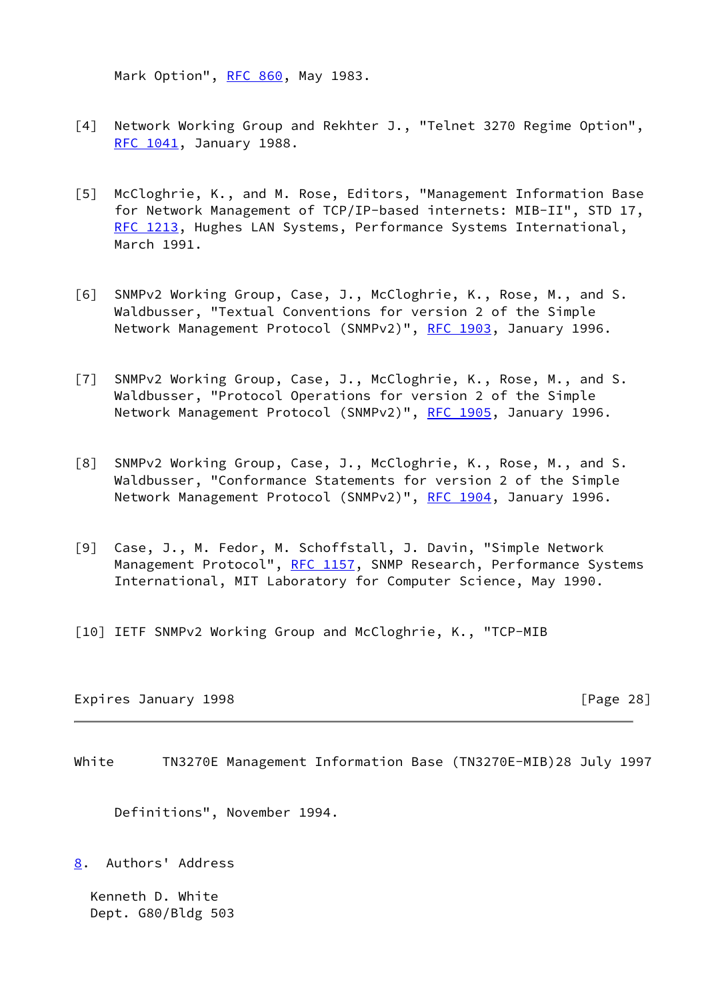Mark Option", [RFC 860](https://datatracker.ietf.org/doc/pdf/rfc860), May 1983.

- [4] Network Working Group and Rekhter J., "Telnet 3270 Regime Option", [RFC 1041](https://datatracker.ietf.org/doc/pdf/rfc1041), January 1988.
- <span id="page-31-1"></span>[5] McCloghrie, K., and M. Rose, Editors, "Management Information Base for Network Management of TCP/IP-based internets: MIB-II", STD 17, [RFC 1213](https://datatracker.ietf.org/doc/pdf/rfc1213), Hughes LAN Systems, Performance Systems International, March 1991.
- <span id="page-31-4"></span>[6] SNMPv2 Working Group, Case, J., McCloghrie, K., Rose, M., and S. Waldbusser, "Textual Conventions for version 2 of the Simple Network Management Protocol (SNMPv2)", [RFC 1903](https://datatracker.ietf.org/doc/pdf/rfc1903), January 1996.
- <span id="page-31-3"></span>[7] SNMPv2 Working Group, Case, J., McCloghrie, K., Rose, M., and S. Waldbusser, "Protocol Operations for version 2 of the Simple Network Management Protocol (SNMPv2)", [RFC 1905](https://datatracker.ietf.org/doc/pdf/rfc1905), January 1996.
- <span id="page-31-5"></span>[8] SNMPv2 Working Group, Case, J., McCloghrie, K., Rose, M., and S. Waldbusser, "Conformance Statements for version 2 of the Simple Network Management Protocol (SNMPv2)", [RFC 1904](https://datatracker.ietf.org/doc/pdf/rfc1904), January 1996.
- <span id="page-31-2"></span>[9] Case, J., M. Fedor, M. Schoffstall, J. Davin, "Simple Network Management Protocol", [RFC 1157](https://datatracker.ietf.org/doc/pdf/rfc1157), SNMP Research, Performance Systems International, MIT Laboratory for Computer Science, May 1990.
- [10] IETF SNMPv2 Working Group and McCloghrie, K., "TCP-MIB

Expires January 1998 **Expires** 28]

<span id="page-31-0"></span>White TN3270E Management Information Base (TN3270E-MIB)28 July 1997

Definitions", November 1994.

<span id="page-31-6"></span>[8](#page-31-6). Authors' Address

 Kenneth D. White Dept. G80/Bldg 503